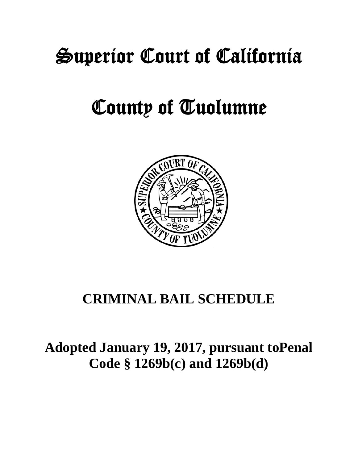# Superior Court of California

## County of Tuolumne



## **CRIMINAL BAIL SCHEDULE**

## **Adopted January 19, 2017, pursuant toPenal Code § 1269b(c) and 1269b(d)**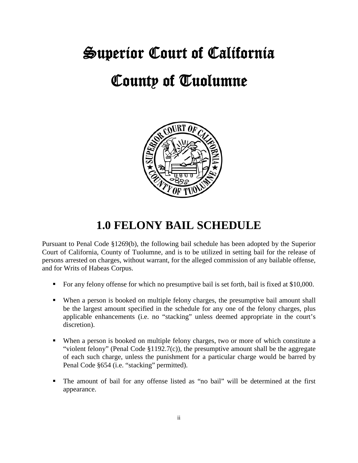# Superior Court of California County of Tuolumne



## **1.0 FELONY BAIL SCHEDULE**

Pursuant to Penal Code §1269(b), the following bail schedule has been adopted by the Superior Court of California, County of Tuolumne, and is to be utilized in setting bail for the release of persons arrested on charges, without warrant, for the alleged commission of any bailable offense, and for Writs of Habeas Corpus.

- For any felony offense for which no presumptive bail is set forth, bail is fixed at \$10,000.
- When a person is booked on multiple felony charges, the presumptive bail amount shall be the largest amount specified in the schedule for any one of the felony charges, plus applicable enhancements (i.e. no "stacking" unless deemed appropriate in the court's discretion).
- When a person is booked on multiple felony charges, two or more of which constitute a "violent felony" (Penal Code §1192.7(c)), the presumptive amount shall be the aggregate of each such charge, unless the punishment for a particular charge would be barred by Penal Code §654 (i.e. "stacking" permitted).
- The amount of bail for any offense listed as "no bail" will be determined at the first appearance.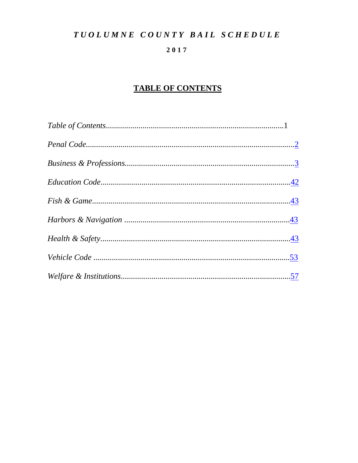#### 2017

## **TABLE OF CONTENTS**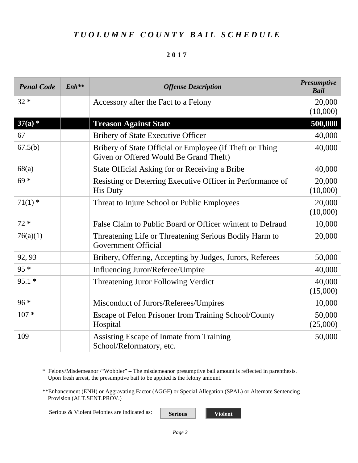#### **2017**

<span id="page-3-0"></span>

| <b>Penal Code</b> | $Enh**$ | <b>Offense Description</b>                                                                         | <b>Presumptive</b><br><b>Bail</b> |
|-------------------|---------|----------------------------------------------------------------------------------------------------|-----------------------------------|
| $32 *$            |         | Accessory after the Fact to a Felony                                                               | 20,000<br>(10,000)                |
| $37(a)$ *         |         | <b>Treason Against State</b>                                                                       | 500,000                           |
| 67                |         | <b>Bribery of State Executive Officer</b>                                                          | 40,000                            |
| 67.5(b)           |         | Bribery of State Official or Employee (if Theft or Thing<br>Given or Offered Would Be Grand Theft) | 40,000                            |
| 68(a)             |         | State Official Asking for or Receiving a Bribe                                                     | 40,000                            |
| $69 *$            |         | Resisting or Deterring Executive Officer in Performance of<br><b>His Duty</b>                      | 20,000<br>(10,000)                |
| $71(1)$ *         |         | Threat to Injure School or Public Employees                                                        | 20,000<br>(10,000)                |
| $72 *$            |         | False Claim to Public Board or Officer w/intent to Defraud                                         | 10,000                            |
| 76(a)(1)          |         | Threatening Life or Threatening Serious Bodily Harm to<br><b>Government Official</b>               | 20,000                            |
| 92, 93            |         | Bribery, Offering, Accepting by Judges, Jurors, Referees                                           | 50,000                            |
| $95 *$            |         | Influencing Juror/Referee/Umpire                                                                   | 40,000                            |
| $95.1*$           |         | Threatening Juror Following Verdict                                                                | 40,000                            |
|                   |         |                                                                                                    | (15,000)                          |
| $96*$             |         | Misconduct of Jurors/Referees/Umpires                                                              | 10,000                            |
| $107 *$           |         | Escape of Felon Prisoner from Training School/County<br>Hospital                                   | 50,000<br>(25,000)                |
| 109               |         | Assisting Escape of Inmate from Training<br>School/Reformatory, etc.                               | 50,000                            |

\* Felony/Misdemeanor /"Wobbler" – The misdemeanor presumptive bail amount is reflected in parenthesis. Upon fresh arrest, the presumptive bail to be applied is the felony amount.

\*\*Enhancement (ENH) or Aggravating Factor (AGGF) or Special Allegation (SPAL) or Alternate Sentencing Provision (ALT.SENT.PROV.)

Serious & Violent Felonies are indicated as: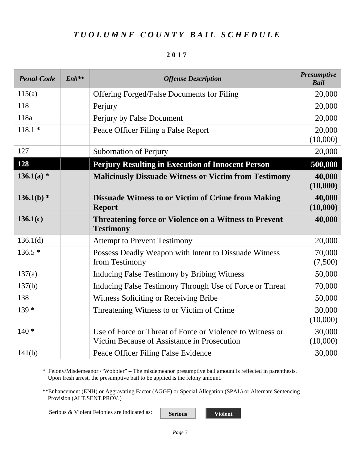#### **2017**

| <b>Penal Code</b> | $Enh**$ | <b>Offense Description</b>                                                                               | <b>Presumptive</b><br><b>Bail</b> |
|-------------------|---------|----------------------------------------------------------------------------------------------------------|-----------------------------------|
| 115(a)            |         | <b>Offering Forged/False Documents for Filing</b>                                                        | 20,000                            |
| 118               |         | Perjury                                                                                                  | 20,000                            |
| 118a              |         | Perjury by False Document                                                                                | 20,000                            |
| $118.1*$          |         | Peace Officer Filing a False Report                                                                      | 20,000<br>(10,000)                |
| 127               |         | <b>Subornation of Perjury</b>                                                                            | 20,000                            |
| 128               |         | <b>Perjury Resulting in Execution of Innocent Person</b>                                                 | 500,000                           |
| $136.1(a)$ *      |         | <b>Maliciously Dissuade Witness or Victim from Testimony</b>                                             | 40,000<br>(10,000)                |
| $136.1(b)$ *      |         | <b>Dissuade Witness to or Victim of Crime from Making</b><br><b>Report</b>                               | 40,000<br>(10,000)                |
| 136.1(c)          |         | <b>Threatening force or Violence on a Witness to Prevent</b><br><b>Testimony</b>                         | 40,000                            |
| 136.1(d)          |         | <b>Attempt to Prevent Testimony</b>                                                                      | 20,000                            |
| $136.5*$          |         | Possess Deadly Weapon with Intent to Dissuade Witness<br>from Testimony                                  | 70,000<br>(7,500)                 |
| 137(a)            |         | Inducing False Testimony by Bribing Witness                                                              | 50,000                            |
| 137(b)            |         | Inducing False Testimony Through Use of Force or Threat                                                  | 70,000                            |
| 138               |         | Witness Soliciting or Receiving Bribe                                                                    | 50,000                            |
| $139*$            |         | Threatening Witness to or Victim of Crime                                                                | 30,000<br>(10,000)                |
| $140*$            |         | Use of Force or Threat of Force or Violence to Witness or<br>Victim Because of Assistance in Prosecution | 30,000<br>(10,000)                |
| 141(b)            |         | Peace Officer Filing False Evidence                                                                      | 30,000                            |

\* Felony/Misdemeanor /"Wobbler" – The misdemeanor presumptive bail amount is reflected in parenthesis. Upon fresh arrest, the presumptive bail to be applied is the felony amount.

\*\*Enhancement (ENH) or Aggravating Factor (AGGF) or Special Allegation (SPAL) or Alternate Sentencing Provision (ALT.SENT.PROV.)

Serious & Violent Felonies are indicated as: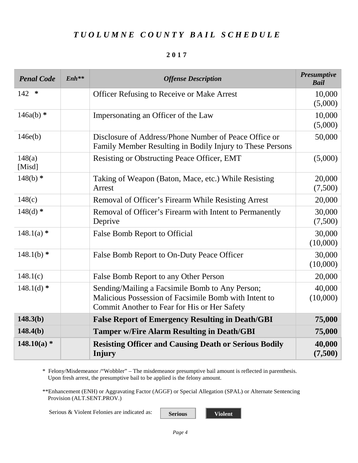#### **2017**

| <b>Penal Code</b> | $Enh**$ | <b>Offense Description</b>                                                                                                                               | <b>Presumptive</b><br><b>Bail</b> |
|-------------------|---------|----------------------------------------------------------------------------------------------------------------------------------------------------------|-----------------------------------|
| ∗<br>142          |         | <b>Officer Refusing to Receive or Make Arrest</b>                                                                                                        | 10,000<br>(5,000)                 |
| $146a(b)$ *       |         | Impersonating an Officer of the Law                                                                                                                      | 10,000<br>(5,000)                 |
| 146e(b)           |         | Disclosure of Address/Phone Number of Peace Office or<br>Family Member Resulting in Bodily Injury to These Persons                                       | 50,000                            |
| 148(a)<br>[Misd]  |         | Resisting or Obstructing Peace Officer, EMT                                                                                                              | (5,000)                           |
| $148(b)$ *        |         | Taking of Weapon (Baton, Mace, etc.) While Resisting<br>Arrest                                                                                           | 20,000<br>(7,500)                 |
| 148(c)            |         | Removal of Officer's Firearm While Resisting Arrest                                                                                                      | 20,000                            |
| $148(d)$ *        |         | Removal of Officer's Firearm with Intent to Permanently<br>Deprive                                                                                       | 30,000<br>(7,500)                 |
| $148.1(a)$ *      |         | False Bomb Report to Official                                                                                                                            | 30,000<br>(10,000)                |
| $148.1(b)$ *      |         | False Bomb Report to On-Duty Peace Officer                                                                                                               | 30,000<br>(10,000)                |
| 148.1(c)          |         | False Bomb Report to any Other Person                                                                                                                    | 20,000                            |
| $148.1(d)$ *      |         | Sending/Mailing a Facsimile Bomb to Any Person;<br>Malicious Possession of Facsimile Bomb with Intent to<br>Commit Another to Fear for His or Her Safety | 40,000<br>(10,000)                |
| 148.3(b)          |         | <b>False Report of Emergency Resulting in Death/GBI</b>                                                                                                  | 75,000                            |
| 148.4(b)          |         | <b>Tamper w/Fire Alarm Resulting in Death/GBI</b>                                                                                                        | 75,000                            |
| $148.10(a)$ *     |         | <b>Resisting Officer and Causing Death or Serious Bodily</b><br>Injury                                                                                   | 40,000<br>(7,500)                 |

\* Felony/Misdemeanor /"Wobbler" – The misdemeanor presumptive bail amount is reflected in parenthesis. Upon fresh arrest, the presumptive bail to be applied is the felony amount.

\*\*Enhancement (ENH) or Aggravating Factor (AGGF) or Special Allegation (SPAL) or Alternate Sentencing Provision (ALT.SENT.PROV.)

Serious & Violent Felonies are indicated as: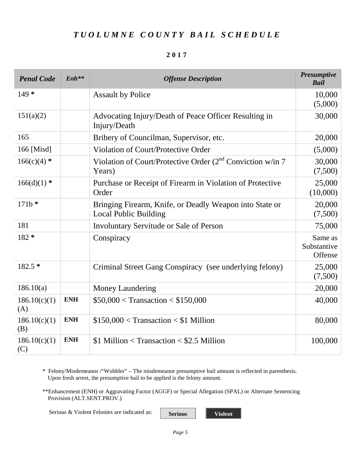#### **2017**

| <b>Penal Code</b>   | $Enh**$    | <b>Offense Description</b>                                                              | <b>Presumptive</b><br><b>Bail</b> |
|---------------------|------------|-----------------------------------------------------------------------------------------|-----------------------------------|
| $149*$              |            | <b>Assault by Police</b>                                                                | 10,000<br>(5,000)                 |
| 151(a)(2)           |            | Advocating Injury/Death of Peace Officer Resulting in<br>Injury/Death                   | 30,000                            |
| 165                 |            | Bribery of Councilman, Supervisor, etc.                                                 | 20,000                            |
| 166 [Misd]          |            | Violation of Court/Protective Order                                                     | (5,000)                           |
| $166(c)(4)$ *       |            | Violation of Court/Protective Order $(2^{nd}$ Conviction w/in 7<br>Years)               | 30,000<br>(7,500)                 |
| $166(d)(1)$ *       |            | Purchase or Receipt of Firearm in Violation of Protective<br>Order                      | 25,000<br>(10,000)                |
| $171b*$             |            | Bringing Firearm, Knife, or Deadly Weapon into State or<br><b>Local Public Building</b> | 20,000<br>(7,500)                 |
| 181                 |            | <b>Involuntary Servitude or Sale of Person</b>                                          | 75,000                            |
| 182 *               |            | Conspiracy                                                                              | Same as<br>Substantive<br>Offense |
| 182.5 *             |            | Criminal Street Gang Conspiracy (see underlying felony)                                 | 25,000<br>(7,500)                 |
| 186.10(a)           |            | Money Laundering                                                                        | 20,000                            |
| 186.10(c)(1)<br>(A) | <b>ENH</b> | $$50,000 < T$ ransaction $< $150,000$                                                   | 40,000                            |
| 186.10(c)(1)<br>(B) | <b>ENH</b> | $$150,000 <$ Transaction $< $1$ Million                                                 | 80,000                            |
| 186.10(c)(1)<br>(C) | <b>ENH</b> | $$1$ Million < Transaction < \$2.5 Million                                              | 100,000                           |

\* Felony/Misdemeanor /"Wobbler" – The misdemeanor presumptive bail amount is reflected in parenthesis. Upon fresh arrest, the presumptive bail to be applied is the felony amount.

\*\*Enhancement (ENH) or Aggravating Factor (AGGF) or Special Allegation (SPAL) or Alternate Sentencing Provision (ALT.SENT.PROV.)

Serious & Violent Felonies are indicated as: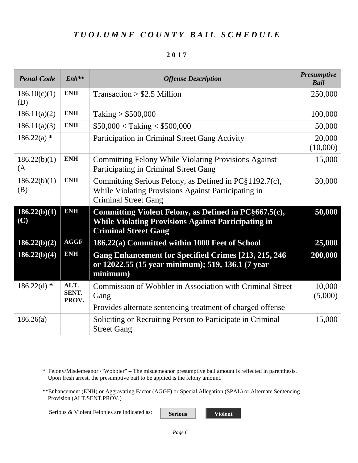#### **2017**

| <b>Penal Code</b>   | $Enh$ **               | <b>Offense Description</b>                                                                                                                         | <b>Presumptive</b><br><b>Bail</b> |
|---------------------|------------------------|----------------------------------------------------------------------------------------------------------------------------------------------------|-----------------------------------|
| 186.10(c)(1)<br>(D) | <b>ENH</b>             | $Transaction > $2.5$ Million                                                                                                                       | 250,000                           |
| 186.11(a)(2)        | <b>ENH</b>             | Taking $> $500,000$                                                                                                                                | 100,000                           |
| 186.11(a)(3)        | <b>ENH</b>             | $$50,000 <$ Taking $< $500,000$                                                                                                                    | 50,000                            |
| $186.22(a)$ *       |                        | Participation in Criminal Street Gang Activity                                                                                                     | 20,000<br>(10,000)                |
| 186.22(b)(1)<br>(A) | <b>ENH</b>             | <b>Committing Felony While Violating Provisions Against</b><br>Participating in Criminal Street Gang                                               | 15,000                            |
| 186.22(b)(1)<br>(B) | <b>ENH</b>             | Committing Serious Felony, as Defined in PC§1192.7(c),<br>While Violating Provisions Against Participating in<br><b>Criminal Street Gang</b>       | 30,000                            |
| 186.22(b)(1)<br>(C) | <b>ENH</b>             | Committing Violent Felony, as Defined in PC§667.5(c),<br><b>While Violating Provisions Against Participating in</b><br><b>Criminal Street Gang</b> | 50,000                            |
| 186.22(b)(2)        | <b>AGGF</b>            | 186.22(a) Committed within 1000 Feet of School                                                                                                     | 25,000                            |
| 186.22(b)(4)        | ENH                    | <b>Gang Enhancement for Specified Crimes [213, 215, 246]</b><br>or 12022.55 (15 year minimum); 519, 136.1 (7 year<br>minimum)                      | 200,000                           |
| $186.22(d)$ *       | ALT.<br>SENT.<br>PROV. | <b>Commission of Wobbler in Association with Criminal Street</b><br>Gang                                                                           | 10,000<br>(5,000)                 |
|                     |                        | Provides alternate sentencing treatment of charged offense                                                                                         |                                   |
| 186.26(a)           |                        | Soliciting or Recruiting Person to Participate in Criminal<br><b>Street Gang</b>                                                                   | 15,000                            |

\* Felony/Misdemeanor /"Wobbler" – The misdemeanor presumptive bail amount is reflected in parenthesis. Upon fresh arrest, the presumptive bail to be applied is the felony amount.

\*\*Enhancement (ENH) or Aggravating Factor (AGGF) or Special Allegation (SPAL) or Alternate Sentencing Provision (ALT.SENT.PROV.)

Serious & Violent Felonies are indicated as: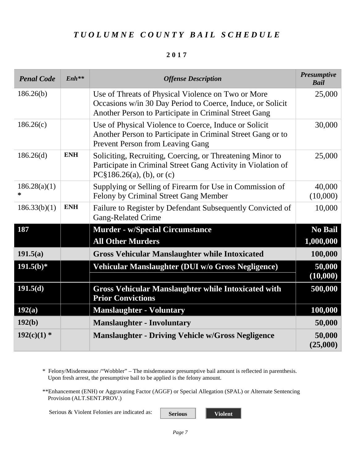#### **2017**

| <b>Penal Code</b> | $Enh$ **   | <b>Offense Description</b>                                                                                                                                                | <b>Presumptive</b><br><b>Bail</b> |
|-------------------|------------|---------------------------------------------------------------------------------------------------------------------------------------------------------------------------|-----------------------------------|
| 186.26(b)         |            | Use of Threats of Physical Violence on Two or More<br>Occasions w/in 30 Day Period to Coerce, Induce, or Solicit<br>Another Person to Participate in Criminal Street Gang | 25,000                            |
| 186.26(c)         |            | Use of Physical Violence to Coerce, Induce or Solicit<br>Another Person to Participate in Criminal Street Gang or to<br><b>Prevent Person from Leaving Gang</b>           | 30,000                            |
| 186.26(d)         | <b>ENH</b> | Soliciting, Recruiting, Coercing, or Threatening Minor to<br>Participate in Criminal Street Gang Activity in Violation of<br>$PC§186.26(a)$ , (b), or (c)                 | 25,000                            |
| 186.28(a)(1)<br>* |            | Supplying or Selling of Firearm for Use in Commission of<br>Felony by Criminal Street Gang Member                                                                         | 40,000<br>(10,000)                |
| 186.33(b)(1)      | <b>ENH</b> | Failure to Register by Defendant Subsequently Convicted of<br><b>Gang-Related Crime</b>                                                                                   | 10,000                            |
| 187               |            | <b>Murder - w/Special Circumstance</b>                                                                                                                                    | No Bail                           |
|                   |            | <b>All Other Murders</b>                                                                                                                                                  | 1,000,000                         |
| 191.5(a)          |            | <b>Gross Vehicular Manslaughter while Intoxicated</b>                                                                                                                     | 100,000                           |
| $191.5(b)*$       |            | Vehicular Manslaughter (DUI w/o Gross Negligence)                                                                                                                         | 50,000<br>(10,000)                |
| 191.5(d)          |            | <b>Gross Vehicular Manslaughter while Intoxicated with</b><br><b>Prior Convictions</b>                                                                                    | 500,000                           |
| 192(a)            |            | <b>Manslaughter - Voluntary</b>                                                                                                                                           | 100,000                           |
| 192(b)            |            | <b>Manslaughter - Involuntary</b>                                                                                                                                         | 50,000                            |
| $192(c)(1)$ *     |            | <b>Manslaughter - Driving Vehicle w/Gross Negligence</b>                                                                                                                  | 50,000<br>(25,000)                |

\* Felony/Misdemeanor /"Wobbler" – The misdemeanor presumptive bail amount is reflected in parenthesis. Upon fresh arrest, the presumptive bail to be applied is the felony amount.

\*\*Enhancement (ENH) or Aggravating Factor (AGGF) or Special Allegation (SPAL) or Alternate Sentencing Provision (ALT.SENT.PROV.)

Serious & Violent Felonies are indicated as: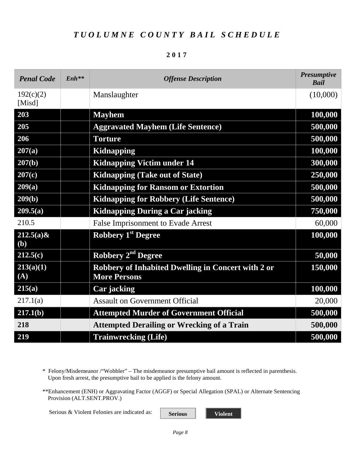|--|--|--|--|

| <b>Penal Code</b>             | $Enh**$ | <b>Offense Description</b>                                                | <b>Presumptive</b><br><b>Bail</b> |
|-------------------------------|---------|---------------------------------------------------------------------------|-----------------------------------|
| 192(c)(2)<br>[Misd]           |         | Manslaughter                                                              | (10,000)                          |
| 203                           |         | <b>Mayhem</b>                                                             | 100,000                           |
| 205                           |         | <b>Aggravated Mayhem (Life Sentence)</b>                                  | 500,000                           |
| 206                           |         | <b>Torture</b>                                                            | 500,000                           |
| 207(a)                        |         | <b>Kidnapping</b>                                                         | 100,000                           |
| 207(b)                        |         | <b>Kidnapping Victim under 14</b>                                         | 300,000                           |
| 207(c)                        |         | <b>Kidnapping (Take out of State)</b>                                     | 250,000                           |
| 209(a)                        |         | <b>Kidnapping for Ransom or Extortion</b>                                 | 500,000                           |
| 209(b)                        |         | <b>Kidnapping for Robbery (Life Sentence)</b>                             | 500,000                           |
| 209.5(a)                      |         | <b>Kidnapping During a Car jacking</b>                                    | 750,000                           |
| 210.5                         |         | <b>False Imprisonment to Evade Arrest</b>                                 | 60,000                            |
| $212.5(a)$ &<br>(b)           |         | <b>Robbery 1st Degree</b>                                                 | 100,000                           |
| 212.5(c)                      |         | Robbery 2 <sup>nd</sup> Degree                                            | 50,000                            |
| $\overline{213(a)(1)}$<br>(A) |         | Robbery of Inhabited Dwelling in Concert with 2 or<br><b>More Persons</b> | 150,000                           |
| 215(a)                        |         | Car jacking                                                               | 100,000                           |
| 217.1(a)                      |         | <b>Assault on Government Official</b>                                     | 20,000                            |
| 217.1(b)                      |         | <b>Attempted Murder of Government Official</b>                            | 500,000                           |
| 218                           |         | <b>Attempted Derailing or Wrecking of a Train</b>                         | 500,000                           |
| 219                           |         | <b>Trainwrecking (Life)</b>                                               | 500,000                           |

\* Felony/Misdemeanor /"Wobbler" – The misdemeanor presumptive bail amount is reflected in parenthesis. Upon fresh arrest, the presumptive bail to be applied is the felony amount.

\*\*Enhancement (ENH) or Aggravating Factor (AGGF) or Special Allegation (SPAL) or Alternate Sentencing Provision (ALT.SENT.PROV.)

Serious & Violent Felonies are indicated as: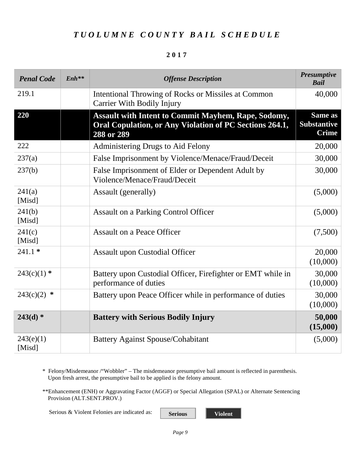#### **2017**

| <b>Penal Code</b>   | $Enh***$ | <b>Offense Description</b>                                                                                                          | <b>Presumptive</b><br><b>Bail</b>             |
|---------------------|----------|-------------------------------------------------------------------------------------------------------------------------------------|-----------------------------------------------|
| 219.1               |          | Intentional Throwing of Rocks or Missiles at Common<br><b>Carrier With Bodily Injury</b>                                            | 40,000                                        |
| 220                 |          | <b>Assault with Intent to Commit Mayhem, Rape, Sodomy,</b><br>Oral Copulation, or Any Violation of PC Sections 264.1,<br>288 or 289 | Same as<br><b>Substantive</b><br><b>Crime</b> |
| 222                 |          | Administering Drugs to Aid Felony                                                                                                   | 20,000                                        |
| 237(a)              |          | False Imprisonment by Violence/Menace/Fraud/Deceit                                                                                  | 30,000                                        |
| 237(b)              |          | False Imprisonment of Elder or Dependent Adult by<br>Violence/Menace/Fraud/Deceit                                                   | 30,000                                        |
| 241(a)<br>[Misd]    |          | Assault (generally)                                                                                                                 | (5,000)                                       |
| 241(b)<br>[Misd]    |          | <b>Assault on a Parking Control Officer</b>                                                                                         | (5,000)                                       |
| 241(c)<br>[Misd]    |          | <b>Assault on a Peace Officer</b>                                                                                                   | (7,500)                                       |
| $241.1*$            |          | <b>Assault upon Custodial Officer</b>                                                                                               | 20,000<br>(10,000)                            |
| $243(c)(1)$ *       |          | Battery upon Custodial Officer, Firefighter or EMT while in<br>performance of duties                                                | 30,000<br>(10,000)                            |
| $243(c)(2)$ *       |          | Battery upon Peace Officer while in performance of duties                                                                           | 30,000<br>(10,000)                            |
| $243(d)$ *          |          | <b>Battery with Serious Bodily Injury</b>                                                                                           | 50,000<br>(15,000)                            |
| 243(e)(1)<br>[Misd] |          | <b>Battery Against Spouse/Cohabitant</b>                                                                                            | (5,000)                                       |

\* Felony/Misdemeanor /"Wobbler" – The misdemeanor presumptive bail amount is reflected in parenthesis. Upon fresh arrest, the presumptive bail to be applied is the felony amount.

\*\*Enhancement (ENH) or Aggravating Factor (AGGF) or Special Allegation (SPAL) or Alternate Sentencing Provision (ALT.SENT.PROV.)

Serious & Violent Felonies are indicated as: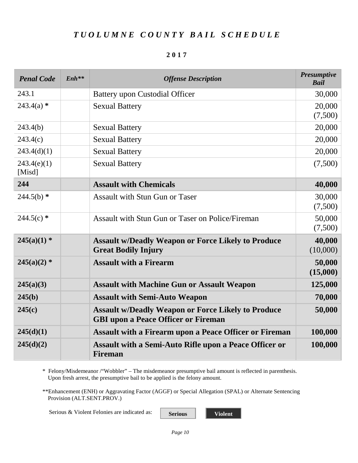|--|--|--|--|--|

| <b>Penal Code</b>     | $Enh**$ | <b>Offense Description</b>                                                                              | <b>Presumptive</b><br><b>Bail</b> |
|-----------------------|---------|---------------------------------------------------------------------------------------------------------|-----------------------------------|
| 243.1                 |         | <b>Battery upon Custodial Officer</b>                                                                   | 30,000                            |
| $243.4(a)$ *          |         | <b>Sexual Battery</b>                                                                                   | 20,000<br>(7,500)                 |
| 243.4(b)              |         | <b>Sexual Battery</b>                                                                                   | 20,000                            |
| 243.4(c)              |         | <b>Sexual Battery</b>                                                                                   | 20,000                            |
| 243.4(d)(1)           |         | <b>Sexual Battery</b>                                                                                   | 20,000                            |
| 243.4(e)(1)<br>[Misd] |         | <b>Sexual Battery</b>                                                                                   | (7,500)                           |
| 244                   |         | <b>Assault with Chemicals</b>                                                                           | 40,000                            |
| $244.5(b)$ *          |         | <b>Assault with Stun Gun or Taser</b>                                                                   | 30,000<br>(7,500)                 |
| $244.5(c)$ *          |         | Assault with Stun Gun or Taser on Police/Fireman                                                        | 50,000<br>(7,500)                 |
| $245(a)(1)$ *         |         | <b>Assault w/Deadly Weapon or Force Likely to Produce</b><br><b>Great Bodily Injury</b>                 | 40,000<br>(10,000)                |
| $245(a)(2)$ *         |         | <b>Assault with a Firearm</b>                                                                           | 50,000<br>(15,000)                |
| 245(a)(3)             |         | <b>Assault with Machine Gun or Assault Weapon</b>                                                       | 125,000                           |
| 245(b)                |         | <b>Assault with Semi-Auto Weapon</b>                                                                    | 70,000                            |
| 245(c)                |         | <b>Assault w/Deadly Weapon or Force Likely to Produce</b><br><b>GBI upon a Peace Officer or Fireman</b> | 50,000                            |
| 245(d)(1)             |         | <b>Assault with a Firearm upon a Peace Officer or Fireman</b>                                           | 100,000                           |
| 245(d)(2)             |         | <b>Assault with a Semi-Auto Rifle upon a Peace Officer or</b><br><b>Fireman</b>                         | 100,000                           |

\* Felony/Misdemeanor /"Wobbler" – The misdemeanor presumptive bail amount is reflected in parenthesis. Upon fresh arrest, the presumptive bail to be applied is the felony amount.

\*\*Enhancement (ENH) or Aggravating Factor (AGGF) or Special Allegation (SPAL) or Alternate Sentencing Provision (ALT.SENT.PROV.)

Serious & Violent Felonies are indicated as: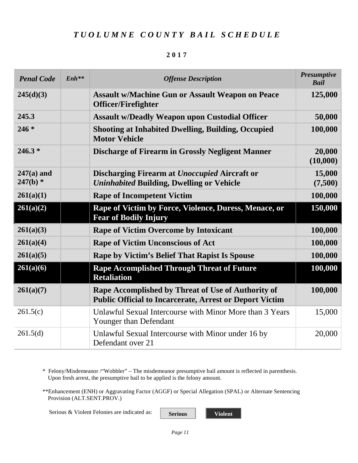#### **2017**

| <b>Penal Code</b>          | $Enh$ ** | <b>Offense Description</b>                                                                                           | <b>Presumptive</b><br><b>Bail</b> |
|----------------------------|----------|----------------------------------------------------------------------------------------------------------------------|-----------------------------------|
| 245(d)(3)                  |          | <b>Assault w/Machine Gun or Assault Weapon on Peace</b><br><b>Officer/Firefighter</b>                                | 125,000                           |
| 245.3                      |          | <b>Assault w/Deadly Weapon upon Custodial Officer</b>                                                                | 50,000                            |
| $246 *$                    |          | <b>Shooting at Inhabited Dwelling, Building, Occupied</b><br><b>Motor Vehicle</b>                                    | 100,000                           |
| $246.3*$                   |          | <b>Discharge of Firearm in Grossly Negligent Manner</b>                                                              | 20,000<br>(10,000)                |
| $247(a)$ and<br>$247(b)$ * |          | Discharging Firearm at Unoccupied Aircraft or<br><b>Uninhabited Building, Dwelling or Vehicle</b>                    | 15,000<br>(7,500)                 |
| 261(a)(1)                  |          | <b>Rape of Incompetent Victim</b>                                                                                    | 100,000                           |
| 261(a)(2)                  |          | Rape of Victim by Force, Violence, Duress, Menace, or<br><b>Fear of Bodily Injury</b>                                | 150,000                           |
| 261(a)(3)                  |          | <b>Rape of Victim Overcome by Intoxicant</b>                                                                         | 100,000                           |
| 261(a)(4)                  |          | <b>Rape of Victim Unconscious of Act</b>                                                                             | 100,000                           |
| 261(a)(5)                  |          | <b>Rape by Victim's Belief That Rapist Is Spouse</b>                                                                 | 100,000                           |
| 261(a)(6)                  |          | <b>Rape Accomplished Through Threat of Future</b><br><b>Retaliation</b>                                              | 100,000                           |
| 261(a)(7)                  |          | Rape Accomplished by Threat of Use of Authority of<br><b>Public Official to Incarcerate, Arrest or Deport Victim</b> | 100,000                           |
| 261.5(c)                   |          | Unlawful Sexual Intercourse with Minor More than 3 Years<br>Younger than Defendant                                   | 15,000                            |
| 261.5(d)                   |          | Unlawful Sexual Intercourse with Minor under 16 by<br>Defendant over 21                                              | 20,000                            |

\* Felony/Misdemeanor /"Wobbler" – The misdemeanor presumptive bail amount is reflected in parenthesis. Upon fresh arrest, the presumptive bail to be applied is the felony amount.

\*\*Enhancement (ENH) or Aggravating Factor (AGGF) or Special Allegation (SPAL) or Alternate Sentencing Provision (ALT.SENT.PROV.)

Serious & Violent Felonies are indicated as: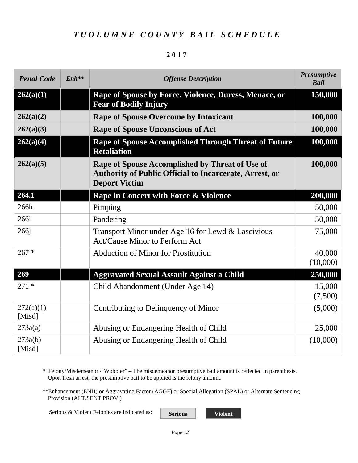#### **2017**

| <b>Penal Code</b>   | $Enh**$ | <b>Offense Description</b>                                                                                                                | <b>Presumptive</b><br><b>Bail</b> |
|---------------------|---------|-------------------------------------------------------------------------------------------------------------------------------------------|-----------------------------------|
| 262(a)(1)           |         | Rape of Spouse by Force, Violence, Duress, Menace, or<br><b>Fear of Bodily Injury</b>                                                     | 150,000                           |
| 262(a)(2)           |         | <b>Rape of Spouse Overcome by Intoxicant</b>                                                                                              | 100,000                           |
| 262(a)(3)           |         | <b>Rape of Spouse Unconscious of Act</b>                                                                                                  | 100,000                           |
| 262(a)(4)           |         | <b>Rape of Spouse Accomplished Through Threat of Future</b><br><b>Retaliation</b>                                                         | 100,000                           |
| 262(a)(5)           |         | Rape of Spouse Accomplished by Threat of Use of<br><b>Authority of Public Official to Incarcerate, Arrest, or</b><br><b>Deport Victim</b> | 100,000                           |
| 264.1               |         | Rape in Concert with Force & Violence                                                                                                     | 200,000                           |
| 266h                |         | Pimping                                                                                                                                   | 50,000                            |
| 266i                |         | Pandering                                                                                                                                 | 50,000                            |
| 266 <sub>i</sub>    |         | Transport Minor under Age 16 for Lewd & Lascivious<br><b>Act/Cause Minor to Perform Act</b>                                               | 75,000                            |
| $267 *$             |         | <b>Abduction of Minor for Prostitution</b>                                                                                                | 40,000<br>(10,000)                |
| 269                 |         | <b>Aggravated Sexual Assault Against a Child</b>                                                                                          | 250,000                           |
| $271*$              |         | Child Abandonment (Under Age 14)                                                                                                          | 15,000<br>(7,500)                 |
| 272(a)(1)<br>[Misd] |         | Contributing to Delinquency of Minor                                                                                                      | (5,000)                           |
| 273a(a)             |         | Abusing or Endangering Health of Child                                                                                                    | 25,000                            |
| 273a(b)<br>[Misd]   |         | Abusing or Endangering Health of Child                                                                                                    | (10,000)                          |

\* Felony/Misdemeanor /"Wobbler" – The misdemeanor presumptive bail amount is reflected in parenthesis. Upon fresh arrest, the presumptive bail to be applied is the felony amount.

\*\*Enhancement (ENH) or Aggravating Factor (AGGF) or Special Allegation (SPAL) or Alternate Sentencing Provision (ALT.SENT.PROV.)

Serious & Violent Felonies are indicated as: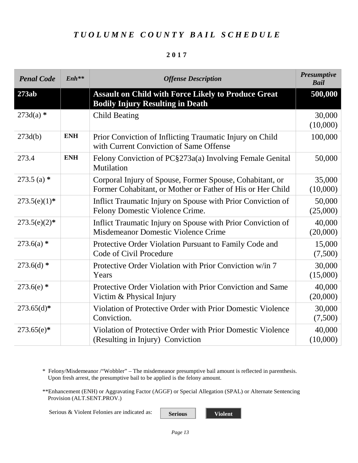#### **2017**

| <b>Penal Code</b> | $Enh**$    | <b>Offense Description</b>                                                                                             | <b>Presumptive</b><br><b>Bail</b> |
|-------------------|------------|------------------------------------------------------------------------------------------------------------------------|-----------------------------------|
| 273ab             |            | <b>Assault on Child with Force Likely to Produce Great</b><br><b>Bodily Injury Resulting in Death</b>                  | 500,000                           |
| $273d(a)$ *       |            | <b>Child Beating</b>                                                                                                   | 30,000<br>(10,000)                |
| 273d(b)           | <b>ENH</b> | Prior Conviction of Inflicting Traumatic Injury on Child<br>with Current Conviction of Same Offense                    | 100,000                           |
| 273.4             | <b>ENH</b> | Felony Conviction of PC§273a(a) Involving Female Genital<br>Mutilation                                                 | 50,000                            |
| 273.5 (a) $*$     |            | Corporal Injury of Spouse, Former Spouse, Cohabitant, or<br>Former Cohabitant, or Mother or Father of His or Her Child | 35,000<br>(10,000)                |
| $273.5(e)(1)$ *   |            | Inflict Traumatic Injury on Spouse with Prior Conviction of<br>Felony Domestic Violence Crime.                         | 50,000<br>(25,000)                |
| $273.5(e)(2)*$    |            | Inflict Traumatic Injury on Spouse with Prior Conviction of<br>Misdemeanor Domestic Violence Crime                     | 40,000<br>(20,000)                |
| $273.6(a)$ *      |            | Protective Order Violation Pursuant to Family Code and<br>Code of Civil Procedure                                      | 15,000<br>(7,500)                 |
| $273.6(d)$ *      |            | Protective Order Violation with Prior Conviction w/in 7<br>Years                                                       | 30,000<br>(15,000)                |
| $273.6(e)$ *      |            | Protective Order Violation with Prior Conviction and Same<br>Victim & Physical Injury                                  | 40,000<br>(20,000)                |
| $273.65(d)*$      |            | Violation of Protective Order with Prior Domestic Violence<br>Conviction.                                              | 30,000<br>(7,500)                 |
| $273.65(e)^*$     |            | Violation of Protective Order with Prior Domestic Violence<br>(Resulting in Injury) Conviction                         | 40,000<br>(10,000)                |

\* Felony/Misdemeanor /"Wobbler" – The misdemeanor presumptive bail amount is reflected in parenthesis. Upon fresh arrest, the presumptive bail to be applied is the felony amount.

\*\*Enhancement (ENH) or Aggravating Factor (AGGF) or Special Allegation (SPAL) or Alternate Sentencing Provision (ALT.SENT.PROV.)

Serious & Violent Felonies are indicated as: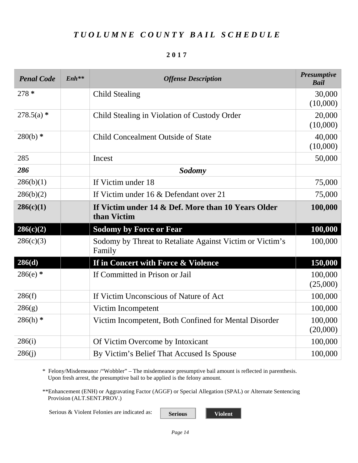#### **2017**

| <b>Penal Code</b> | $Enh**$ | <b>Offense Description</b>                                         | <b>Presumptive</b><br><b>Bail</b> |
|-------------------|---------|--------------------------------------------------------------------|-----------------------------------|
| $278*$            |         | <b>Child Stealing</b>                                              | 30,000                            |
|                   |         |                                                                    | (10,000)                          |
| $278.5(a)$ *      |         | Child Stealing in Violation of Custody Order                       | 20,000                            |
|                   |         |                                                                    | (10,000)                          |
| $280(b)$ *        |         | <b>Child Concealment Outside of State</b>                          | 40,000                            |
|                   |         |                                                                    | (10,000)                          |
| 285               |         | Incest                                                             | 50,000                            |
| 286               |         | <b>Sodomy</b>                                                      |                                   |
| 286(b)(1)         |         | If Victim under 18                                                 | 75,000                            |
| 286(b)(2)         |         | If Victim under 16 & Defendant over 21                             | 75,000                            |
| 286(c)(1)         |         | If Victim under 14 & Def. More than 10 Years Older<br>than Victim  | 100,000                           |
| 286(c)(2)         |         | <b>Sodomy by Force or Fear</b>                                     | 100,000                           |
| 286(c)(3)         |         | Sodomy by Threat to Retaliate Against Victim or Victim's<br>Family | 100,000                           |
| 286(d)            |         | If in Concert with Force & Violence                                | 150,000                           |
| $286(e)$ *        |         | If Committed in Prison or Jail                                     | 100,000                           |
|                   |         |                                                                    | (25,000)                          |
| 286(f)            |         | If Victim Unconscious of Nature of Act                             | 100,000                           |
| 286(g)            |         | Victim Incompetent                                                 | 100,000                           |
| $286(h)$ *        |         | Victim Incompetent, Both Confined for Mental Disorder              | 100,000                           |
|                   |         |                                                                    | (20,000)                          |
| 286(i)            |         | Of Victim Overcome by Intoxicant                                   | 100,000                           |
| 286(j)            |         | By Victim's Belief That Accused Is Spouse                          | 100,000                           |

\* Felony/Misdemeanor /"Wobbler" – The misdemeanor presumptive bail amount is reflected in parenthesis. Upon fresh arrest, the presumptive bail to be applied is the felony amount.

\*\*Enhancement (ENH) or Aggravating Factor (AGGF) or Special Allegation (SPAL) or Alternate Sentencing Provision (ALT.SENT.PROV.)

Serious & Violent Felonies are indicated as: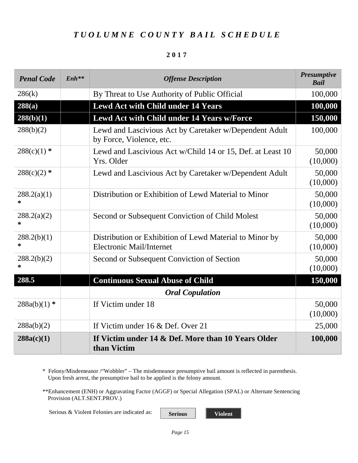#### **2017**

| <b>Penal Code</b>     | $Enh$ ** | <b>Offense Description</b>                                                                 | <b>Presumptive</b><br><b>Bail</b> |
|-----------------------|----------|--------------------------------------------------------------------------------------------|-----------------------------------|
| 286(k)                |          | By Threat to Use Authority of Public Official                                              | 100,000                           |
| 288(a)                |          | <b>Lewd Act with Child under 14 Years</b>                                                  | 100,000                           |
| 288(b)(1)             |          | Lewd Act with Child under 14 Years w/Force                                                 | 150,000                           |
| 288(b)(2)             |          | Lewd and Lascivious Act by Caretaker w/Dependent Adult<br>by Force, Violence, etc.         | 100,000                           |
| $288(c)(1)$ *         |          | Lewd and Lascivious Act w/Child 14 or 15, Def. at Least 10<br>Yrs. Older                   | 50,000<br>(10,000)                |
| $288(c)(2)$ *         |          | Lewd and Lascivious Act by Caretaker w/Dependent Adult                                     | 50,000<br>(10,000)                |
| 288.2(a)(1)<br>*      |          | Distribution or Exhibition of Lewd Material to Minor                                       | 50,000<br>(10,000)                |
| 288.2(a)(2)<br>*      |          | Second or Subsequent Conviction of Child Molest                                            | 50,000<br>(10,000)                |
| 288.2(b)(1)<br>$\ast$ |          | Distribution or Exhibition of Lewd Material to Minor by<br><b>Electronic Mail/Internet</b> | 50,000<br>(10,000)                |
| 288.2(b)(2)<br>∗      |          | Second or Subsequent Conviction of Section                                                 | 50,000<br>(10,000)                |
| 288.5                 |          | <b>Continuous Sexual Abuse of Child</b>                                                    | 150,000                           |
|                       |          | <b>Oral Copulation</b>                                                                     |                                   |
| $288a(b)(1)$ *        |          | If Victim under 18                                                                         | 50,000<br>(10,000)                |
| 288a(b)(2)            |          | If Victim under 16 & Def. Over 21                                                          | 25,000                            |
| 288a(c)(1)            |          | If Victim under 14 & Def. More than 10 Years Older<br>than Victim                          | 100,000                           |

\* Felony/Misdemeanor /"Wobbler" – The misdemeanor presumptive bail amount is reflected in parenthesis. Upon fresh arrest, the presumptive bail to be applied is the felony amount.

\*\*Enhancement (ENH) or Aggravating Factor (AGGF) or Special Allegation (SPAL) or Alternate Sentencing Provision (ALT.SENT.PROV.)

Serious & Violent Felonies are indicated as: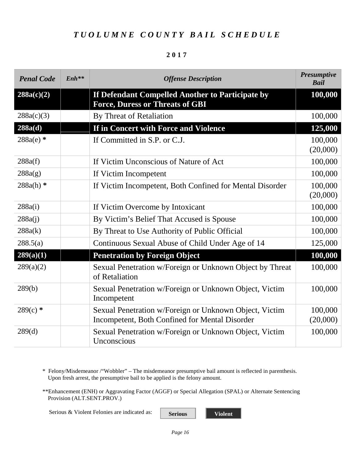#### **2017**

| <b>Penal Code</b> | $Enh$ ** | <b>Offense Description</b>                                                                               | <b>Presumptive</b><br><b>Bail</b> |
|-------------------|----------|----------------------------------------------------------------------------------------------------------|-----------------------------------|
| 288a(c)(2)        |          | If Defendant Compelled Another to Participate by<br><b>Force, Duress or Threats of GBI</b>               | 100,000                           |
| 288a(c)(3)        |          | By Threat of Retaliation                                                                                 | 100,000                           |
| 288a(d)           |          | If in Concert with Force and Violence                                                                    | 125,000                           |
| 288a(e) *         |          | If Committed in S.P. or C.J.                                                                             | 100,000<br>(20,000)               |
| 288a(f)           |          | If Victim Unconscious of Nature of Act                                                                   | 100,000                           |
| 288a(g)           |          | If Victim Incompetent                                                                                    | 100,000                           |
| $288a(h)$ *       |          | If Victim Incompetent, Both Confined for Mental Disorder                                                 | 100,000<br>(20,000)               |
| 288a(i)           |          | If Victim Overcome by Intoxicant                                                                         | 100,000                           |
| 288a(i)           |          | By Victim's Belief That Accused is Spouse                                                                | 100,000                           |
| 288a(k)           |          | By Threat to Use Authority of Public Official                                                            | 100,000                           |
| 288.5(a)          |          | Continuous Sexual Abuse of Child Under Age of 14                                                         | 125,000                           |
| 289(a)(1)         |          | <b>Penetration by Foreign Object</b>                                                                     | 100,000                           |
| 289(a)(2)         |          | Sexual Penetration w/Foreign or Unknown Object by Threat<br>of Retaliation                               | 100,000                           |
| 289(b)            |          | Sexual Penetration w/Foreign or Unknown Object, Victim<br>Incompetent                                    | 100,000                           |
| $289(c)$ *        |          | Sexual Penetration w/Foreign or Unknown Object, Victim<br>Incompetent, Both Confined for Mental Disorder | 100,000<br>(20,000)               |
| 289(d)            |          | Sexual Penetration w/Foreign or Unknown Object, Victim<br>Unconscious                                    | 100,000                           |

\* Felony/Misdemeanor /"Wobbler" – The misdemeanor presumptive bail amount is reflected in parenthesis. Upon fresh arrest, the presumptive bail to be applied is the felony amount.

\*\*Enhancement (ENH) or Aggravating Factor (AGGF) or Special Allegation (SPAL) or Alternate Sentencing Provision (ALT.SENT.PROV.)

Serious & Violent Felonies are indicated as: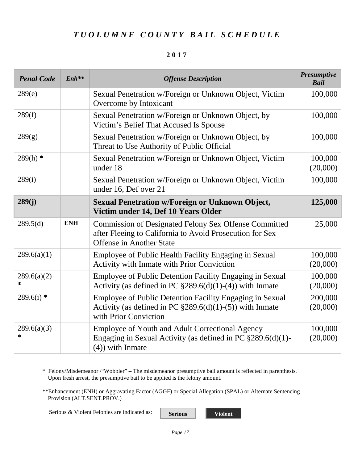#### **2017**

| <b>Penal Code</b> | $Enh**$    | <b>Offense Description</b>                                                                                                                                  | <b>Presumptive</b><br><b>Bail</b> |
|-------------------|------------|-------------------------------------------------------------------------------------------------------------------------------------------------------------|-----------------------------------|
| 289(e)            |            | Sexual Penetration w/Foreign or Unknown Object, Victim<br>Overcome by Intoxicant                                                                            | 100,000                           |
| 289(f)            |            | Sexual Penetration w/Foreign or Unknown Object, by<br>Victim's Belief That Accused Is Spouse                                                                | 100,000                           |
| 289(g)            |            | Sexual Penetration w/Foreign or Unknown Object, by<br>Threat to Use Authority of Public Official                                                            | 100,000                           |
| $289(h)$ *        |            | Sexual Penetration w/Foreign or Unknown Object, Victim<br>under 18                                                                                          | 100,000<br>(20,000)               |
| 289(i)            |            | Sexual Penetration w/Foreign or Unknown Object, Victim<br>under 16, Def over 21                                                                             | 100,000                           |
| 289(j)            |            | <b>Sexual Penetration w/Foreign or Unknown Object,</b><br>Victim under 14, Def 10 Years Older                                                               | 125,000                           |
| 289.5(d)          | <b>ENH</b> | <b>Commission of Designated Felony Sex Offense Committed</b><br>after Fleeing to California to Avoid Prosecution for Sex<br><b>Offense in Another State</b> | 25,000                            |
| 289.6(a)(1)       |            | Employee of Public Health Facility Engaging in Sexual<br>Activity with Inmate with Prior Conviction                                                         | 100,000<br>(20,000)               |
| 289.6(a)(2)<br>*  |            | Employee of Public Detention Facility Engaging in Sexual<br>Activity (as defined in PC $$289.6(d)(1)-(4)$ ) with Inmate                                     | 100,000<br>(20,000)               |
| $289.6(i)$ *      |            | Employee of Public Detention Facility Engaging in Sexual<br>Activity (as defined in PC $\S 289.6(d)(1)-(5)$ ) with Inmate<br>with Prior Conviction          | 200,000<br>(20,000)               |
| 289.6(a)(3)<br>*  |            | Employee of Youth and Adult Correctional Agency<br>Engaging in Sexual Activity (as defined in PC $\S 289.6(d)(1)$ -<br>$(4)$ ) with Inmate                  | 100,000<br>(20,000)               |

\* Felony/Misdemeanor /"Wobbler" – The misdemeanor presumptive bail amount is reflected in parenthesis. Upon fresh arrest, the presumptive bail to be applied is the felony amount.

\*\*Enhancement (ENH) or Aggravating Factor (AGGF) or Special Allegation (SPAL) or Alternate Sentencing Provision (ALT.SENT.PROV.)

Serious & Violent Felonies are indicated as: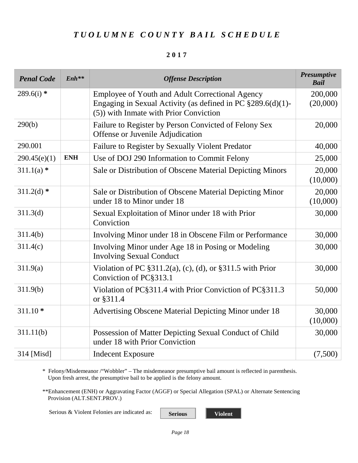#### **2017**

| <b>Penal Code</b>    | $Enh^{**}$ | <b>Offense Description</b>                                                                                                                                    | <b>Presumptive</b><br><b>Bail</b> |
|----------------------|------------|---------------------------------------------------------------------------------------------------------------------------------------------------------------|-----------------------------------|
| $289.6(i)$ *         |            | Employee of Youth and Adult Correctional Agency<br>Engaging in Sexual Activity (as defined in PC $\S 289.6(d)(1)$ -<br>(5)) with Inmate with Prior Conviction | 200,000<br>(20,000)               |
| 290(b)               |            | Failure to Register by Person Convicted of Felony Sex<br>Offense or Juvenile Adjudication                                                                     | 20,000                            |
| 290.001              |            | Failure to Register by Sexually Violent Predator                                                                                                              | 40,000                            |
| 290.45(e)(1)         | <b>ENH</b> | Use of DOJ 290 Information to Commit Felony                                                                                                                   | 25,000                            |
| $311.1(a)$ *         |            | Sale or Distribution of Obscene Material Depicting Minors                                                                                                     | 20,000<br>(10,000)                |
| $311.2(d)$ *         |            | Sale or Distribution of Obscene Material Depicting Minor<br>under 18 to Minor under 18                                                                        | 20,000<br>(10,000)                |
| 311.3 <sub>(d)</sub> |            | Sexual Exploitation of Minor under 18 with Prior<br>Conviction                                                                                                | 30,000                            |
| 311.4(b)             |            | Involving Minor under 18 in Obscene Film or Performance                                                                                                       | 30,000                            |
| 311.4(c)             |            | Involving Minor under Age 18 in Posing or Modeling<br><b>Involving Sexual Conduct</b>                                                                         | 30,000                            |
| 311.9(a)             |            | Violation of PC $\S311.2(a)$ , (c), (d), or $\S311.5$ with Prior<br>Conviction of PC§313.1                                                                    | 30,000                            |
| 311.9(b)             |            | Violation of PC§311.4 with Prior Conviction of PC§311.3<br>or §311.4                                                                                          | 50,000                            |
| $311.10*$            |            | Advertising Obscene Material Depicting Minor under 18                                                                                                         | 30,000<br>(10,000)                |
| 311.11(b)            |            | Possession of Matter Depicting Sexual Conduct of Child<br>under 18 with Prior Conviction                                                                      | 30,000                            |
| 314 [Misd]           |            | <b>Indecent Exposure</b>                                                                                                                                      | (7,500)                           |

\* Felony/Misdemeanor /"Wobbler" – The misdemeanor presumptive bail amount is reflected in parenthesis. Upon fresh arrest, the presumptive bail to be applied is the felony amount.

\*\*Enhancement (ENH) or Aggravating Factor (AGGF) or Special Allegation (SPAL) or Alternate Sentencing Provision (ALT.SENT.PROV.)

Serious & Violent Felonies are indicated as: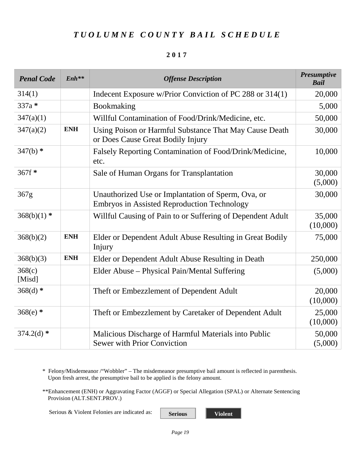#### **2017**

| <b>Penal Code</b> | $Enh**$    | <b>Offense Description</b>                                                                               | <b>Presumptive</b><br><b>Bail</b> |
|-------------------|------------|----------------------------------------------------------------------------------------------------------|-----------------------------------|
| 314(1)            |            | Indecent Exposure w/Prior Conviction of PC 288 or 314(1)                                                 | 20,000                            |
| 337a*             |            | Bookmaking                                                                                               | 5,000                             |
| 347(a)(1)         |            | Willful Contamination of Food/Drink/Medicine, etc.                                                       | 50,000                            |
| 347(a)(2)         | <b>ENH</b> | Using Poison or Harmful Substance That May Cause Death<br>or Does Cause Great Bodily Injury              | 30,000                            |
| $347(b)$ *        |            | Falsely Reporting Contamination of Food/Drink/Medicine,<br>etc.                                          | 10,000                            |
| 367f*             |            | Sale of Human Organs for Transplantation                                                                 | 30,000<br>(5,000)                 |
| 367g              |            | Unauthorized Use or Implantation of Sperm, Ova, or<br><b>Embryos in Assisted Reproduction Technology</b> | 30,000                            |
| $368(b)(1)$ *     |            | Willful Causing of Pain to or Suffering of Dependent Adult                                               | 35,000<br>(10,000)                |
| 368(b)(2)         | <b>ENH</b> | Elder or Dependent Adult Abuse Resulting in Great Bodily<br>Injury                                       | 75,000                            |
| 368(b)(3)         | <b>ENH</b> | Elder or Dependent Adult Abuse Resulting in Death                                                        | 250,000                           |
| 368(c)<br>[Misd]  |            | Elder Abuse – Physical Pain/Mental Suffering                                                             | (5,000)                           |
| $368(d)$ *        |            | Theft or Embezzlement of Dependent Adult                                                                 | 20,000<br>(10,000)                |
| $368(e)$ *        |            | Theft or Embezzlement by Caretaker of Dependent Adult                                                    | 25,000<br>(10,000)                |
| $374.2(d)$ *      |            | Malicious Discharge of Harmful Materials into Public<br><b>Sewer with Prior Conviction</b>               | 50,000<br>(5,000)                 |

\* Felony/Misdemeanor /"Wobbler" – The misdemeanor presumptive bail amount is reflected in parenthesis. Upon fresh arrest, the presumptive bail to be applied is the felony amount.

\*\*Enhancement (ENH) or Aggravating Factor (AGGF) or Special Allegation (SPAL) or Alternate Sentencing Provision (ALT.SENT.PROV.)

Serious & Violent Felonies are indicated as: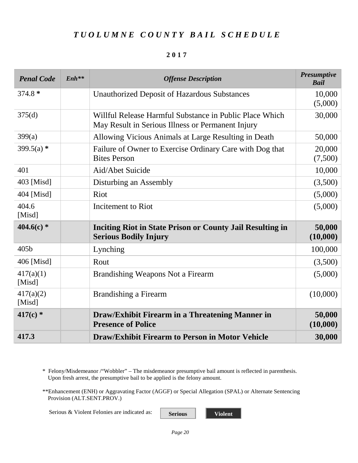#### **2017**

| <b>Penal Code</b>   | $Enh**$ | <b>Offense Description</b>                                                                                   | <b>Presumptive</b><br><b>Bail</b> |
|---------------------|---------|--------------------------------------------------------------------------------------------------------------|-----------------------------------|
| $374.8*$            |         | <b>Unauthorized Deposit of Hazardous Substances</b>                                                          | 10,000<br>(5,000)                 |
| 375(d)              |         | Willful Release Harmful Substance in Public Place Which<br>May Result in Serious Illness or Permanent Injury | 30,000                            |
| 399(a)              |         | Allowing Vicious Animals at Large Resulting in Death                                                         | 50,000                            |
| 399.5(a) $*$        |         | Failure of Owner to Exercise Ordinary Care with Dog that<br><b>Bites Person</b>                              | 20,000<br>(7,500)                 |
| 401                 |         | Aid/Abet Suicide                                                                                             | 10,000                            |
| 403 [Misd]          |         | Disturbing an Assembly                                                                                       | (3,500)                           |
| 404 [Misd]          |         | Riot                                                                                                         | (5,000)                           |
| 404.6<br>[Misd]     |         | Incitement to Riot                                                                                           | (5,000)                           |
| 404.6(c) $*$        |         | <b>Inciting Riot in State Prison or County Jail Resulting in</b><br><b>Serious Bodily Injury</b>             | 50,000<br>(10,000)                |
| 405b                |         | Lynching                                                                                                     | 100,000                           |
| 406 [Misd]          |         | Rout                                                                                                         | (3,500)                           |
| 417(a)(1)<br>[Misd] |         | Brandishing Weapons Not a Firearm                                                                            | (5,000)                           |
| 417(a)(2)<br>[Misd] |         | <b>Brandishing a Firearm</b>                                                                                 | (10,000)                          |
| 417(c) $*$          |         | Draw/Exhibit Firearm in a Threatening Manner in<br><b>Presence of Police</b>                                 | 50,000<br>(10,000)                |
| 417.3               |         | <b>Draw/Exhibit Firearm to Person in Motor Vehicle</b>                                                       | 30,000                            |

\* Felony/Misdemeanor /"Wobbler" – The misdemeanor presumptive bail amount is reflected in parenthesis. Upon fresh arrest, the presumptive bail to be applied is the felony amount.

\*\*Enhancement (ENH) or Aggravating Factor (AGGF) or Special Allegation (SPAL) or Alternate Sentencing Provision (ALT.SENT.PROV.)

Serious & Violent Felonies are indicated as: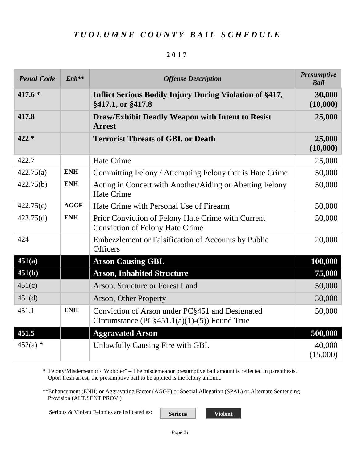#### **2017**

| <b>Penal Code</b> | $Enh**$     | <b>Offense Description</b>                                                                        | <b>Presumptive</b><br><b>Bail</b> |
|-------------------|-------------|---------------------------------------------------------------------------------------------------|-----------------------------------|
| 417.6 *           |             | <b>Inflict Serious Bodily Injury During Violation of §417,</b><br>§417.1, or §417.8               | 30,000<br>(10,000)                |
| 417.8             |             | <b>Draw/Exhibit Deadly Weapon with Intent to Resist</b><br><b>Arrest</b>                          | 25,000                            |
| $422 *$           |             | <b>Terrorist Threats of GBI, or Death</b>                                                         | 25,000<br>(10,000)                |
| 422.7             |             | <b>Hate Crime</b>                                                                                 | 25,000                            |
| 422.75(a)         | <b>ENH</b>  | Committing Felony / Attempting Felony that is Hate Crime                                          | 50,000                            |
| 422.75(b)         | <b>ENH</b>  | Acting in Concert with Another/Aiding or Abetting Felony<br><b>Hate Crime</b>                     | 50,000                            |
| 422.75(c)         | <b>AGGF</b> | Hate Crime with Personal Use of Firearm                                                           | 50,000                            |
| 422.75(d)         | <b>ENH</b>  | Prior Conviction of Felony Hate Crime with Current<br><b>Conviction of Felony Hate Crime</b>      | 50,000                            |
| 424               |             | Embezzlement or Falsification of Accounts by Public<br><b>Officers</b>                            | 20,000                            |
| 451(a)            |             | <b>Arson Causing GBI.</b>                                                                         | 100,000                           |
| 451(b)            |             | <b>Arson, Inhabited Structure</b>                                                                 | 75,000                            |
| 451(c)            |             | Arson, Structure or Forest Land                                                                   | 50,000                            |
| 451(d)            |             | Arson, Other Property                                                                             | 30,000                            |
| 451.1             | <b>ENH</b>  | Conviction of Arson under PC§451 and Designated<br>Circumstance $(PC§451.1(a)(1)-(5))$ Found True | 50,000                            |
| 451.5             |             | <b>Aggravated Arson</b>                                                                           | 500,000                           |
| $452(a)$ *        |             | Unlawfully Causing Fire with GBI.                                                                 | 40,000<br>(15,000)                |

\* Felony/Misdemeanor /"Wobbler" – The misdemeanor presumptive bail amount is reflected in parenthesis. Upon fresh arrest, the presumptive bail to be applied is the felony amount.

\*\*Enhancement (ENH) or Aggravating Factor (AGGF) or Special Allegation (SPAL) or Alternate Sentencing Provision (ALT.SENT.PROV.)

Serious & Violent Felonies are indicated as: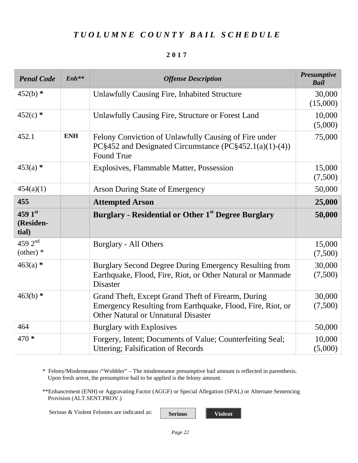#### **2017**

| <b>Penal Code</b>                  | $Enh**$    | <b>Offense Description</b>                                                                                                                              | <b>Presumptive</b><br><b>Bail</b> |
|------------------------------------|------------|---------------------------------------------------------------------------------------------------------------------------------------------------------|-----------------------------------|
| $452(b)$ *                         |            | Unlawfully Causing Fire, Inhabited Structure                                                                                                            | 30,000<br>(15,000)                |
| $452(c)$ *                         |            | Unlawfully Causing Fire, Structure or Forest Land                                                                                                       | 10,000<br>(5,000)                 |
| 452.1                              | <b>ENH</b> | Felony Conviction of Unlawfully Causing of Fire under<br>PC§452 and Designated Circumstance (PC§452.1(a)(1)-(4))<br><b>Found True</b>                   | 75,000                            |
| $453(a)$ *                         |            | Explosives, Flammable Matter, Possession                                                                                                                | 15,000<br>(7,500)                 |
| 454(a)(1)                          |            | Arson During State of Emergency                                                                                                                         | 50,000                            |
| 455                                |            | <b>Attempted Arson</b>                                                                                                                                  | 25,000                            |
| 459 $1st$<br>(Residen-<br>tial)    |            | <b>Burglary - Residential or Other 1st Degree Burglary</b>                                                                                              | 50,000                            |
| 459 $2^{nd}$<br>$\text{(other)}$ * |            | <b>Burglary - All Others</b>                                                                                                                            | 15,000<br>(7,500)                 |
| $463(a)$ *                         |            | Burglary Second Degree During Emergency Resulting from<br>Earthquake, Flood, Fire, Riot, or Other Natural or Manmade<br><b>Disaster</b>                 | 30,000<br>(7,500)                 |
| $463(b)$ *                         |            | Grand Theft, Except Grand Theft of Firearm, During<br>Emergency Resulting from Earthquake, Flood, Fire, Riot, or<br>Other Natural or Unnatural Disaster | 30,000<br>(7,500)                 |
| 464                                |            | Burglary with Explosives                                                                                                                                | 50,000                            |
| 470 *                              |            | Forgery, Intent; Documents of Value; Counterfeiting Seal;<br>Uttering; Falsification of Records                                                         | 10,000<br>(5,000)                 |

\* Felony/Misdemeanor /"Wobbler" – The misdemeanor presumptive bail amount is reflected in parenthesis. Upon fresh arrest, the presumptive bail to be applied is the felony amount.

\*\*Enhancement (ENH) or Aggravating Factor (AGGF) or Special Allegation (SPAL) or Alternate Sentencing Provision (ALT.SENT.PROV.)

Serious & Violent Felonies are indicated as: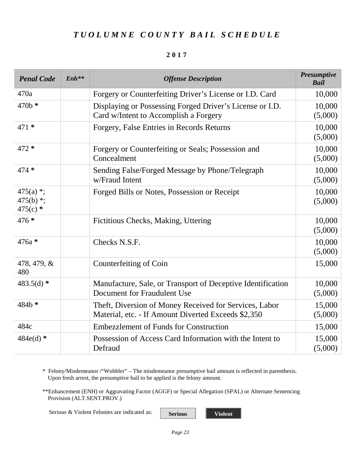#### **2017**

| <b>Penal Code</b>                         | $Enh**$ | <b>Offense Description</b>                                                                                    | <b>Presumptive</b><br><b>Bail</b> |
|-------------------------------------------|---------|---------------------------------------------------------------------------------------------------------------|-----------------------------------|
| 470a                                      |         | Forgery or Counterfeiting Driver's License or I.D. Card                                                       | 10,000                            |
| $470b *$                                  |         | Displaying or Possessing Forged Driver's License or I.D.<br>Card w/Intent to Accomplish a Forgery             | 10,000<br>(5,000)                 |
| $471*$                                    |         | Forgery, False Entries in Records Returns                                                                     | 10,000<br>(5,000)                 |
| 472 *                                     |         | Forgery or Counterfeiting or Seals; Possession and<br>Concealment                                             | 10,000<br>(5,000)                 |
| $474*$                                    |         | Sending False/Forged Message by Phone/Telegraph<br>w/Fraud Intent                                             | 10,000<br>(5,000)                 |
| $475(a)$ *;<br>475(b) $*$ ;<br>$475(c)$ * |         | Forged Bills or Notes, Possession or Receipt                                                                  | 10,000<br>(5,000)                 |
| 476 *                                     |         | Fictitious Checks, Making, Uttering                                                                           | 10,000<br>(5,000)                 |
| 476a *                                    |         | Checks N.S.F.                                                                                                 | 10,000<br>(5,000)                 |
| 478, 479, &<br>480                        |         | Counterfeiting of Coin                                                                                        | 15,000                            |
| 483.5(d) $*$                              |         | Manufacture, Sale, or Transport of Deceptive Identification<br>Document for Fraudulent Use                    | 10,000<br>(5,000)                 |
| 484b*                                     |         | Theft, Diversion of Money Received for Services, Labor<br>Material, etc. - If Amount Diverted Exceeds \$2,350 | 15,000<br>(5,000)                 |
| 484c                                      |         | <b>Embezzlement of Funds for Construction</b>                                                                 | 15,000                            |
| $484e(d)$ *                               |         | Possession of Access Card Information with the Intent to<br>Defraud                                           | 15,000<br>(5,000)                 |

\* Felony/Misdemeanor /"Wobbler" – The misdemeanor presumptive bail amount is reflected in parenthesis. Upon fresh arrest, the presumptive bail to be applied is the felony amount.

\*\*Enhancement (ENH) or Aggravating Factor (AGGF) or Special Allegation (SPAL) or Alternate Sentencing Provision (ALT.SENT.PROV.)

Serious & Violent Felonies are indicated as: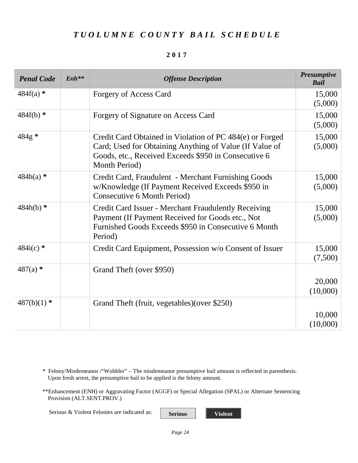#### **2017**

| <b>Penal Code</b> | $Enh***$ | <b>Offense Description</b>                                                                                                                                                                   | <b>Presumptive</b><br><b>Bail</b> |
|-------------------|----------|----------------------------------------------------------------------------------------------------------------------------------------------------------------------------------------------|-----------------------------------|
| $484f(a)$ *       |          | Forgery of Access Card                                                                                                                                                                       | 15,000<br>(5,000)                 |
| $484f(b)$ *       |          | Forgery of Signature on Access Card                                                                                                                                                          | 15,000<br>(5,000)                 |
| 484g*             |          | Credit Card Obtained in Violation of PC 484(e) or Forged<br>Card; Used for Obtaining Anything of Value (If Value of<br>Goods, etc., Received Exceeds \$950 in Consecutive 6<br>Month Period) | 15,000<br>(5,000)                 |
| $484h(a)$ *       |          | Credit Card, Fraudulent - Merchant Furnishing Goods<br>w/Knowledge (If Payment Received Exceeds \$950 in<br>Consecutive 6 Month Period)                                                      | 15,000<br>(5,000)                 |
| $484h(b)$ *       |          | Credit Card Issuer - Merchant Fraudulently Receiving<br>Payment (If Payment Received for Goods etc., Not<br>Furnished Goods Exceeds \$950 in Consecutive 6 Month<br>Period)                  | 15,000<br>(5,000)                 |
| $484i(c)$ *       |          | Credit Card Equipment, Possession w/o Consent of Issuer                                                                                                                                      | 15,000<br>(7,500)                 |
| $487(a)$ *        |          | Grand Theft (over \$950)                                                                                                                                                                     | 20,000<br>(10,000)                |
| $487(b)(1)$ *     |          | Grand Theft (fruit, vegetables) (over \$250)                                                                                                                                                 | 10,000<br>(10,000)                |

\* Felony/Misdemeanor /"Wobbler" – The misdemeanor presumptive bail amount is reflected in parenthesis. Upon fresh arrest, the presumptive bail to be applied is the felony amount.

\*\*Enhancement (ENH) or Aggravating Factor (AGGF) or Special Allegation (SPAL) or Alternate Sentencing Provision (ALT.SENT.PROV.)

Serious & Violent Felonies are indicated as: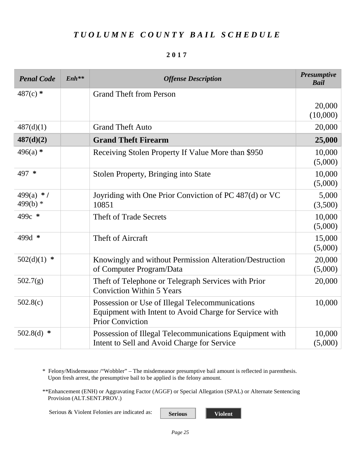#### **2017**

| <b>Penal Code</b>          | $Enh**$ | <b>Offense Description</b>                                                                                                           | <b>Presumptive</b><br><b>Bail</b> |
|----------------------------|---------|--------------------------------------------------------------------------------------------------------------------------------------|-----------------------------------|
| $487(c)$ *                 |         | <b>Grand Theft from Person</b>                                                                                                       |                                   |
|                            |         |                                                                                                                                      | 20,000<br>(10,000)                |
| 487(d)(1)                  |         | <b>Grand Theft Auto</b>                                                                                                              | 20,000                            |
| 487(d)(2)                  |         | <b>Grand Theft Firearm</b>                                                                                                           | 25,000                            |
| $496(a)$ *                 |         | Receiving Stolen Property If Value More than \$950                                                                                   | 10,000<br>(5,000)                 |
| 497 *                      |         | <b>Stolen Property, Bringing into State</b>                                                                                          | 10,000<br>(5,000)                 |
| 499(a) $*$ /<br>499(b) $*$ |         | Joyriding with One Prior Conviction of PC 487(d) or VC<br>10851                                                                      | 5,000<br>(3,500)                  |
| 499c *                     |         | <b>Theft of Trade Secrets</b>                                                                                                        | 10,000<br>(5,000)                 |
| 499d *                     |         | Theft of Aircraft                                                                                                                    | 15,000<br>(5,000)                 |
| 502(d)(1)<br>$\ast$        |         | Knowingly and without Permission Alteration/Destruction<br>of Computer Program/Data                                                  | 20,000<br>(5,000)                 |
| 502.7(g)                   |         | Theft of Telephone or Telegraph Services with Prior<br><b>Conviction Within 5 Years</b>                                              | 20,000                            |
| 502.8(c)                   |         | Possession or Use of Illegal Telecommunications<br>Equipment with Intent to Avoid Charge for Service with<br><b>Prior Conviction</b> | 10,000                            |
| 502.8(d)<br>∗              |         | Possession of Illegal Telecommunications Equipment with<br>Intent to Sell and Avoid Charge for Service                               | 10,000<br>(5,000)                 |

\* Felony/Misdemeanor /"Wobbler" – The misdemeanor presumptive bail amount is reflected in parenthesis. Upon fresh arrest, the presumptive bail to be applied is the felony amount.

\*\*Enhancement (ENH) or Aggravating Factor (AGGF) or Special Allegation (SPAL) or Alternate Sentencing Provision (ALT.SENT.PROV.)

Serious & Violent Felonies are indicated as: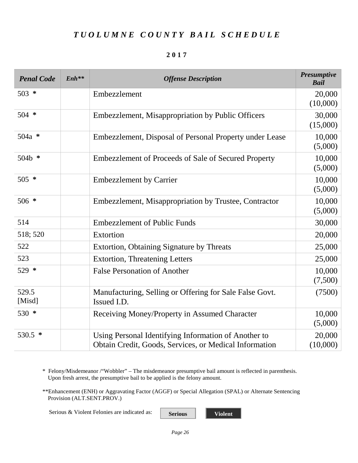#### **2017**

| <b>Penal Code</b> | $Enh**$ | <b>Offense Description</b>                                                                                     | <b>Presumptive</b><br><b>Bail</b> |
|-------------------|---------|----------------------------------------------------------------------------------------------------------------|-----------------------------------|
| $503 *$           |         | Embezzlement                                                                                                   | 20,000<br>(10,000)                |
| $504$ *           |         | Embezzlement, Misappropriation by Public Officers                                                              | 30,000<br>(15,000)                |
| $504a *$          |         | Embezzlement, Disposal of Personal Property under Lease                                                        | 10,000<br>(5,000)                 |
| 504b *            |         | <b>Embezzlement of Proceeds of Sale of Secured Property</b>                                                    | 10,000<br>(5,000)                 |
| $505 *$           |         | <b>Embezzlement by Carrier</b>                                                                                 | 10,000<br>(5,000)                 |
| $506 *$           |         | Embezzlement, Misappropriation by Trustee, Contractor                                                          | 10,000<br>(5,000)                 |
| 514               |         | <b>Embezzlement of Public Funds</b>                                                                            | 30,000                            |
| 518; 520          |         | Extortion                                                                                                      | 20,000                            |
| 522               |         | Extortion, Obtaining Signature by Threats                                                                      | 25,000                            |
| 523               |         | <b>Extortion, Threatening Letters</b>                                                                          | 25,000                            |
| 529 *             |         | <b>False Personation of Another</b>                                                                            | 10,000<br>(7,500)                 |
| 529.5<br>[Misd]   |         | Manufacturing, Selling or Offering for Sale False Govt.<br>Issued I.D.                                         | (7500)                            |
| 530 *             |         | Receiving Money/Property in Assumed Character                                                                  | 10,000<br>(5,000)                 |
| 530.5 *           |         | Using Personal Identifying Information of Another to<br>Obtain Credit, Goods, Services, or Medical Information | 20,000<br>(10,000)                |

\* Felony/Misdemeanor /"Wobbler" – The misdemeanor presumptive bail amount is reflected in parenthesis. Upon fresh arrest, the presumptive bail to be applied is the felony amount.

\*\*Enhancement (ENH) or Aggravating Factor (AGGF) or Special Allegation (SPAL) or Alternate Sentencing Provision (ALT.SENT.PROV.)

Serious & Violent Felonies are indicated as: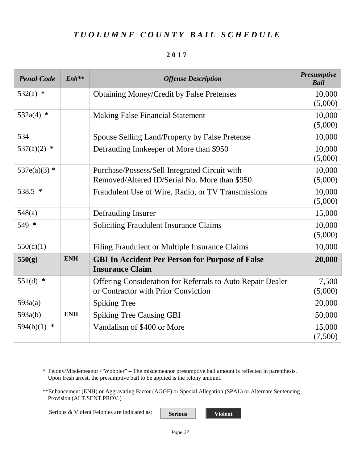#### **2017**

| <b>Penal Code</b>   | $Enh**$    | <b>Offense Description</b>                                                                               | <b>Presumptive</b><br><b>Bail</b> |
|---------------------|------------|----------------------------------------------------------------------------------------------------------|-----------------------------------|
| $532(a)$ *          |            | <b>Obtaining Money/Credit by False Pretenses</b>                                                         | 10,000<br>(5,000)                 |
| 532a(4) $*$         |            | <b>Making False Financial Statement</b>                                                                  | 10,000<br>(5,000)                 |
| 534                 |            | Spouse Selling Land/Property by False Pretense                                                           | 10,000                            |
| $\ast$<br>537(a)(2) |            | Defrauding Innkeeper of More than \$950                                                                  | 10,000<br>(5,000)                 |
| 537e(a)(3) $*$      |            | Purchase/Possess/Sell Integrated Circuit with<br>Removed/Altered ID/Serial No. More than \$950           | 10,000<br>(5,000)                 |
| 538.5 *             |            | Fraudulent Use of Wire, Radio, or TV Transmissions                                                       | 10,000<br>(5,000)                 |
| 548(a)              |            | Defrauding Insurer                                                                                       | 15,000                            |
| 549 *               |            | <b>Soliciting Fraudulent Insurance Claims</b>                                                            | 10,000<br>(5,000)                 |
| 550(c)(1)           |            | Filing Fraudulent or Multiple Insurance Claims                                                           | 10,000                            |
| 550(g)              | <b>ENH</b> | <b>GBI In Accident Per Person for Purpose of False</b><br><b>Insurance Claim</b>                         | 20,000                            |
| 551(d) $*$          |            | <b>Offering Consideration for Referrals to Auto Repair Dealer</b><br>or Contractor with Prior Conviction | 7,500<br>(5,000)                  |
| 593a(a)             |            | <b>Spiking Tree</b>                                                                                      | 20,000                            |
| 593a(b)             | <b>ENH</b> | <b>Spiking Tree Causing GBI</b>                                                                          | 50,000                            |
| 594(b)(1)<br>∗      |            | Vandalism of \$400 or More                                                                               | 15,000<br>(7,500)                 |

\* Felony/Misdemeanor /"Wobbler" – The misdemeanor presumptive bail amount is reflected in parenthesis. Upon fresh arrest, the presumptive bail to be applied is the felony amount.

\*\*Enhancement (ENH) or Aggravating Factor (AGGF) or Special Allegation (SPAL) or Alternate Sentencing Provision (ALT.SENT.PROV.)

Serious & Violent Felonies are indicated as: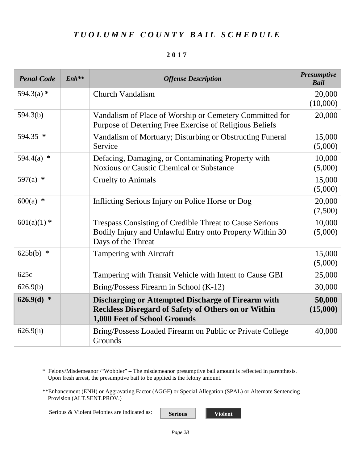#### **2017**

| <b>Penal Code</b> | $Enh***$ | <b>Offense Description</b>                                                                                                                              | <b>Presumptive</b><br><b>Bail</b> |
|-------------------|----------|---------------------------------------------------------------------------------------------------------------------------------------------------------|-----------------------------------|
| $594.3(a)$ *      |          | <b>Church Vandalism</b>                                                                                                                                 | 20,000<br>(10,000)                |
| 594.3(b)          |          | Vandalism of Place of Worship or Cemetery Committed for<br>Purpose of Deterring Free Exercise of Religious Beliefs                                      | 20,000                            |
| 594.35 *          |          | Vandalism of Mortuary; Disturbing or Obstructing Funeral<br>Service                                                                                     | 15,000<br>(5,000)                 |
| 594.4(a) $*$      |          | Defacing, Damaging, or Contaminating Property with<br><b>Noxious or Caustic Chemical or Substance</b>                                                   | 10,000<br>(5,000)                 |
| 597(a) $*$        |          | <b>Cruelty to Animals</b>                                                                                                                               | 15,000<br>(5,000)                 |
| $600(a)$ *        |          | Inflicting Serious Injury on Police Horse or Dog                                                                                                        | 20,000<br>(7,500)                 |
| $601(a)(1)$ *     |          | <b>Trespass Consisting of Credible Threat to Cause Serious</b><br>Bodily Injury and Unlawful Entry onto Property Within 30<br>Days of the Threat        | 10,000<br>(5,000)                 |
| $625b(b)$ *       |          | Tampering with Aircraft                                                                                                                                 | 15,000<br>(5,000)                 |
| 625c              |          | Tampering with Transit Vehicle with Intent to Cause GBI                                                                                                 | 25,000                            |
| 626.9(b)          |          | Bring/Possess Firearm in School (K-12)                                                                                                                  | 30,000                            |
| $626.9(d)$ *      |          | <b>Discharging or Attempted Discharge of Firearm with</b><br><b>Reckless Disregard of Safety of Others on or Within</b><br>1,000 Feet of School Grounds | 50,000<br>(15,000)                |
| 626.9(h)          |          | Bring/Possess Loaded Firearm on Public or Private College<br>Grounds                                                                                    | 40,000                            |

\* Felony/Misdemeanor /"Wobbler" – The misdemeanor presumptive bail amount is reflected in parenthesis. Upon fresh arrest, the presumptive bail to be applied is the felony amount.

\*\*Enhancement (ENH) or Aggravating Factor (AGGF) or Special Allegation (SPAL) or Alternate Sentencing Provision (ALT.SENT.PROV.)

Serious & Violent Felonies are indicated as: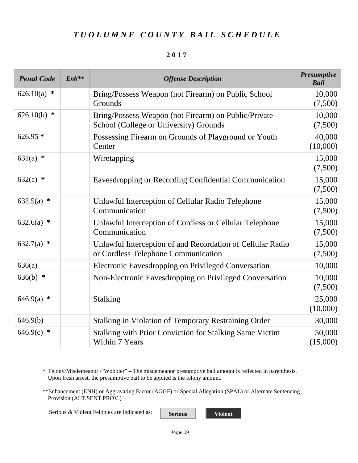#### **2017**

| <b>Penal Code</b> | $Enh**$ | <b>Offense Description</b>                                                                        | <b>Presumptive</b><br><b>Bail</b> |
|-------------------|---------|---------------------------------------------------------------------------------------------------|-----------------------------------|
| 626.10(a)<br>∗    |         | Bring/Possess Weapon (not Firearm) on Public School<br>Grounds                                    | 10,000<br>(7,500)                 |
| 626.10(b)<br>∗    |         | Bring/Possess Weapon (not Firearm) on Public/Private<br>School (College or University) Grounds    | 10,000<br>(7,500)                 |
| $626.95*$         |         | Possessing Firearm on Grounds of Playground or Youth<br>Center                                    | 40,000<br>(10,000)                |
| $631(a)$ *        |         | Wiretapping                                                                                       | 15,000<br>(7,500)                 |
| $632(a)$ *        |         | Eavesdropping or Recording Confidential Communication                                             | 15,000<br>(7,500)                 |
| $632.5(a)$ *      |         | Unlawful Interception of Cellular Radio Telephone<br>Communication                                | 15,000<br>(7,500)                 |
| $632.6(a)$ *      |         | Unlawful Interception of Cordless or Cellular Telephone<br>Communication                          | 15,000<br>(7,500)                 |
| $632.7(a)$ *      |         | Unlawful Interception of and Recordation of Cellular Radio<br>or Cordless Telephone Communication | 15,000<br>(7,500)                 |
| 636(a)            |         | <b>Electronic Eavesdropping on Privileged Conversation</b>                                        | 10,000                            |
| 636(b) $*$        |         | Non-Electronic Eavesdropping on Privileged Conversation                                           | 10,000<br>(7,500)                 |
| $646.9(a)$ *      |         | <b>Stalking</b>                                                                                   | 25,000<br>(10,000)                |
| 646.9(b)          |         | <b>Stalking in Violation of Temporary Restraining Order</b>                                       | 30,000                            |
| $646.9(c)$ *      |         | <b>Stalking with Prior Conviction for Stalking Same Victim</b><br>Within 7 Years                  | 50,000<br>(15,000)                |

\* Felony/Misdemeanor /"Wobbler" – The misdemeanor presumptive bail amount is reflected in parenthesis. Upon fresh arrest, the presumptive bail to be applied is the felony amount.

\*\*Enhancement (ENH) or Aggravating Factor (AGGF) or Special Allegation (SPAL) or Alternate Sentencing Provision (ALT.SENT.PROV.)

Serious & Violent Felonies are indicated as: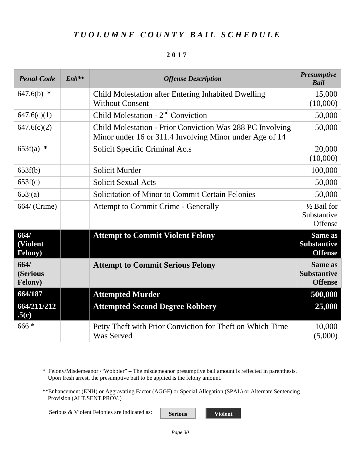#### **2017**

| <b>Penal Code</b>                   | $Enh^{**}$ | <b>Offense Description</b>                                                                                           | <b>Presumptive</b><br><b>Bail</b>                      |
|-------------------------------------|------------|----------------------------------------------------------------------------------------------------------------------|--------------------------------------------------------|
| $647.6(b)$ *                        |            | Child Molestation after Entering Inhabited Dwelling<br><b>Without Consent</b>                                        | 15,000<br>(10,000)                                     |
| 647.6(c)(1)                         |            | Child Molestation - 2 <sup>nd</sup> Conviction                                                                       | 50,000                                                 |
| 647.6(c)(2)                         |            | Child Molestation - Prior Conviction Was 288 PC Involving<br>Minor under 16 or 311.4 Involving Minor under Age of 14 | 50,000                                                 |
| $653f(a)$ *                         |            | <b>Solicit Specific Criminal Acts</b>                                                                                | 20,000<br>(10,000)                                     |
| 653f(b)                             |            | <b>Solicit Murder</b>                                                                                                | 100,000                                                |
| 653f(c)                             |            | <b>Solicit Sexual Acts</b>                                                                                           | 50,000                                                 |
| 653j(a)                             |            | <b>Solicitation of Minor to Commit Certain Felonies</b>                                                              | 50,000                                                 |
| 664/ (Crime)                        |            | <b>Attempt to Commit Crime - Generally</b>                                                                           | 1/2 Bail for<br>Substantive<br>Offense                 |
| 664/<br>(Violent<br><b>Felony</b> ) |            | <b>Attempt to Commit Violent Felony</b>                                                                              | Same as<br><b>Substantive</b><br><b>Offense</b>        |
| 664/<br>(Serious<br>Felony)         |            | <b>Attempt to Commit Serious Felony</b>                                                                              | <b>Same as</b><br><b>Substantive</b><br><b>Offense</b> |
| 664/187                             |            | <b>Attempted Murder</b>                                                                                              | 500,000                                                |
| 664/211/212<br>.5(c)                |            | <b>Attempted Second Degree Robbery</b>                                                                               | 25,000                                                 |
| $666*$                              |            | Petty Theft with Prior Conviction for Theft on Which Time<br><b>Was Served</b>                                       | 10,000<br>(5,000)                                      |

\* Felony/Misdemeanor /"Wobbler" – The misdemeanor presumptive bail amount is reflected in parenthesis. Upon fresh arrest, the presumptive bail to be applied is the felony amount.

\*\*Enhancement (ENH) or Aggravating Factor (AGGF) or Special Allegation (SPAL) or Alternate Sentencing Provision (ALT.SENT.PROV.)

Serious & Violent Felonies are indicated as: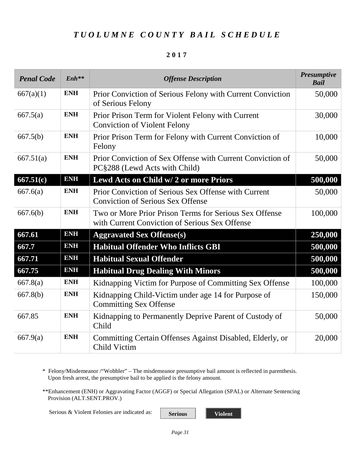#### **2017**

| <b>Penal Code</b> | $Enh**$    | <b>Offense Description</b>                                                                               | <b>Presumptive</b><br><b>Bail</b> |
|-------------------|------------|----------------------------------------------------------------------------------------------------------|-----------------------------------|
| 667(a)(1)         | <b>ENH</b> | Prior Conviction of Serious Felony with Current Conviction<br>of Serious Felony                          | 50,000                            |
| 667.5(a)          | <b>ENH</b> | Prior Prison Term for Violent Felony with Current<br><b>Conviction of Violent Felony</b>                 | 30,000                            |
| 667.5(b)          | <b>ENH</b> | Prior Prison Term for Felony with Current Conviction of<br>Felony                                        | 10,000                            |
| 667.51(a)         | <b>ENH</b> | Prior Conviction of Sex Offense with Current Conviction of<br>PC§288 (Lewd Acts with Child)              | 50,000                            |
| 667.51(c)         | <b>ENH</b> | Lewd Acts on Child w/2 or more Priors                                                                    | 500,000                           |
| 667.6(a)          | <b>ENH</b> | Prior Conviction of Serious Sex Offense with Current<br><b>Conviction of Serious Sex Offense</b>         | 50,000                            |
| 667.6(b)          | <b>ENH</b> | Two or More Prior Prison Terms for Serious Sex Offense<br>with Current Conviction of Serious Sex Offense | 100,000                           |
| 667.61            | <b>ENH</b> | <b>Aggravated Sex Offense(s)</b>                                                                         | 250,000                           |
| 667.7             | <b>ENH</b> | <b>Habitual Offender Who Inflicts GBI</b>                                                                | 500,000                           |
| 667.71            | <b>ENH</b> | <b>Habitual Sexual Offender</b>                                                                          | 500,000                           |
| 667.75            | <b>ENH</b> | <b>Habitual Drug Dealing With Minors</b>                                                                 | 500,000                           |
| 667.8(a)          | <b>ENH</b> | Kidnapping Victim for Purpose of Committing Sex Offense                                                  | 100,000                           |
| 667.8(b)          | <b>ENH</b> | Kidnapping Child-Victim under age 14 for Purpose of<br><b>Committing Sex Offense</b>                     | 150,000                           |
| 667.85            | <b>ENH</b> | Kidnapping to Permanently Deprive Parent of Custody of<br>Child                                          | 50,000                            |
| 667.9(a)          | <b>ENH</b> | Committing Certain Offenses Against Disabled, Elderly, or<br>Child Victim                                | 20,000                            |

\* Felony/Misdemeanor /"Wobbler" – The misdemeanor presumptive bail amount is reflected in parenthesis. Upon fresh arrest, the presumptive bail to be applied is the felony amount.

\*\*Enhancement (ENH) or Aggravating Factor (AGGF) or Special Allegation (SPAL) or Alternate Sentencing Provision (ALT.SENT.PROV.)

Serious & Violent Felonies are indicated as: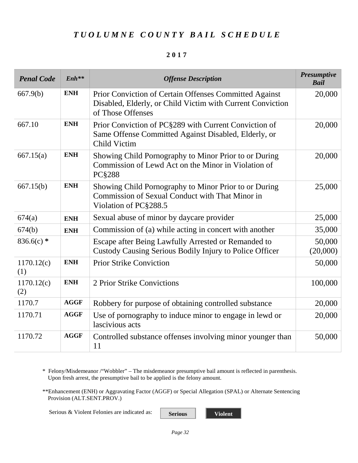#### **2017**

| <b>Penal Code</b> | $Enh**$     | <b>Offense Description</b>                                                                                                                | <b>Presumptive</b><br><b>Bail</b> |
|-------------------|-------------|-------------------------------------------------------------------------------------------------------------------------------------------|-----------------------------------|
| 667.9(b)          | <b>ENH</b>  | Prior Conviction of Certain Offenses Committed Against<br>Disabled, Elderly, or Child Victim with Current Conviction<br>of Those Offenses | 20,000                            |
| 667.10            | <b>ENH</b>  | Prior Conviction of PC§289 with Current Conviction of<br>Same Offense Committed Against Disabled, Elderly, or<br>Child Victim             | 20,000                            |
| 667.15(a)         | <b>ENH</b>  | Showing Child Pornography to Minor Prior to or During<br>Commission of Lewd Act on the Minor in Violation of<br><b>PC§288</b>             | 20,000                            |
| 667.15(b)         | <b>ENH</b>  | Showing Child Pornography to Minor Prior to or During<br>Commission of Sexual Conduct with That Minor in<br>Violation of PC§288.5         | 25,000                            |
| 674(a)            | <b>ENH</b>  | Sexual abuse of minor by daycare provider                                                                                                 | 25,000                            |
| 674(b)            | <b>ENH</b>  | Commission of (a) while acting in concert with another                                                                                    | 35,000                            |
| $836.6(c)$ *      |             | Escape after Being Lawfully Arrested or Remanded to<br>Custody Causing Serious Bodily Injury to Police Officer                            | 50,000<br>(20,000)                |
| 1170.12(c)<br>(1) | <b>ENH</b>  | <b>Prior Strike Conviction</b>                                                                                                            | 50,000                            |
| 1170.12(c)<br>(2) | <b>ENH</b>  | 2 Prior Strike Convictions                                                                                                                | 100,000                           |
| 1170.7            | <b>AGGF</b> | Robbery for purpose of obtaining controlled substance                                                                                     | 20,000                            |
| 1170.71           | <b>AGGF</b> | Use of pornography to induce minor to engage in lewd or<br>lascivious acts                                                                | 20,000                            |
| 1170.72           | <b>AGGF</b> | Controlled substance offenses involving minor younger than<br>11                                                                          | 50,000                            |

\* Felony/Misdemeanor /"Wobbler" – The misdemeanor presumptive bail amount is reflected in parenthesis. Upon fresh arrest, the presumptive bail to be applied is the felony amount.

\*\*Enhancement (ENH) or Aggravating Factor (AGGF) or Special Allegation (SPAL) or Alternate Sentencing Provision (ALT.SENT.PROV.)

Serious & Violent Felonies are indicated as: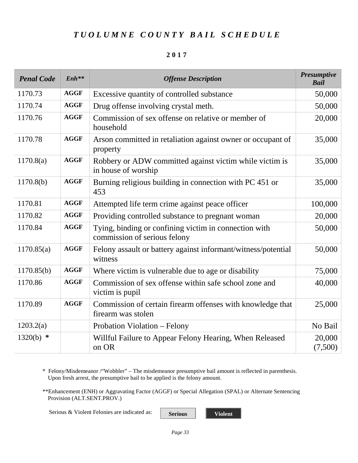#### **2017**

| <b>Penal Code</b> | $Enh**$     | <b>Offense Description</b>                                                            | <b>Presumptive</b><br><b>Bail</b> |
|-------------------|-------------|---------------------------------------------------------------------------------------|-----------------------------------|
| 1170.73           | <b>AGGF</b> | Excessive quantity of controlled substance                                            | 50,000                            |
| 1170.74           | <b>AGGF</b> | Drug offense involving crystal meth.                                                  | 50,000                            |
| 1170.76           | <b>AGGF</b> | Commission of sex offense on relative or member of<br>household                       | 20,000                            |
| 1170.78           | <b>AGGF</b> | Arson committed in retaliation against owner or occupant of<br>property               | 35,000                            |
| 1170.8(a)         | <b>AGGF</b> | Robbery or ADW committed against victim while victim is<br>in house of worship        | 35,000                            |
| 1170.8(b)         | <b>AGGF</b> | Burning religious building in connection with PC 451 or<br>453                        | 35,000                            |
| 1170.81           | <b>AGGF</b> | Attempted life term crime against peace officer                                       | 100,000                           |
| 1170.82           | <b>AGGF</b> | Providing controlled substance to pregnant woman                                      | 20,000                            |
| 1170.84           | <b>AGGF</b> | Tying, binding or confining victim in connection with<br>commission of serious felony | 50,000                            |
| 1170.85(a)        | <b>AGGF</b> | Felony assault or battery against informant/witness/potential<br>witness              | 50,000                            |
| 1170.85(b)        | <b>AGGF</b> | Where victim is vulnerable due to age or disability                                   | 75,000                            |
| 1170.86           | <b>AGGF</b> | Commission of sex offense within safe school zone and<br>victim is pupil              | 40,000                            |
| 1170.89           | <b>AGGF</b> | Commission of certain firearm offenses with knowledge that<br>firearm was stolen      | 25,000                            |
| 1203.2(a)         |             | Probation Violation – Felony                                                          | No Bail                           |
| $1320(b)$ *       |             | Willful Failure to Appear Felony Hearing, When Released<br>on OR                      | 20,000<br>(7,500)                 |

\* Felony/Misdemeanor /"Wobbler" – The misdemeanor presumptive bail amount is reflected in parenthesis. Upon fresh arrest, the presumptive bail to be applied is the felony amount.

\*\*Enhancement (ENH) or Aggravating Factor (AGGF) or Special Allegation (SPAL) or Alternate Sentencing Provision (ALT.SENT.PROV.)

Serious & Violent Felonies are indicated as: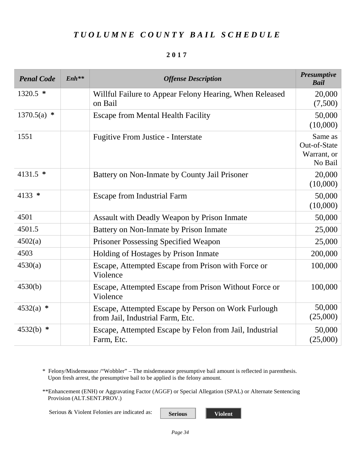#### **2017**

| <b>Penal Code</b> | $Enh**$ | <b>Offense Description</b>                                                              | Presumptive<br><b>Bail</b>                        |
|-------------------|---------|-----------------------------------------------------------------------------------------|---------------------------------------------------|
| $1320.5$ *        |         | Willful Failure to Appear Felony Hearing, When Released<br>on Bail                      | 20,000<br>(7,500)                                 |
| 1370.5(a)<br>∗    |         | <b>Escape from Mental Health Facility</b>                                               | 50,000<br>(10,000)                                |
| 1551              |         | <b>Fugitive From Justice - Interstate</b>                                               | Same as<br>Out-of-State<br>Warrant, or<br>No Bail |
| 4131.5 $*$        |         | Battery on Non-Inmate by County Jail Prisoner                                           | 20,000<br>(10,000)                                |
| 4133 $*$          |         | <b>Escape from Industrial Farm</b>                                                      | 50,000<br>(10,000)                                |
| 4501              |         | Assault with Deadly Weapon by Prison Inmate                                             | 50,000                                            |
| 4501.5            |         | Battery on Non-Inmate by Prison Inmate                                                  | 25,000                                            |
| 4502(a)           |         | <b>Prisoner Possessing Specified Weapon</b>                                             | 25,000                                            |
| 4503              |         | Holding of Hostages by Prison Inmate                                                    | 200,000                                           |
| 4530(a)           |         | Escape, Attempted Escape from Prison with Force or<br>Violence                          | 100,000                                           |
| 4530(b)           |         | Escape, Attempted Escape from Prison Without Force or<br>Violence                       | 100,000                                           |
| $4532(a)$ *       |         | Escape, Attempted Escape by Person on Work Furlough<br>from Jail, Industrial Farm, Etc. | 50,000<br>(25,000)                                |
| $4532(b)$ *       |         | Escape, Attempted Escape by Felon from Jail, Industrial<br>Farm, Etc.                   | 50,000<br>(25,000)                                |

\* Felony/Misdemeanor /"Wobbler" – The misdemeanor presumptive bail amount is reflected in parenthesis. Upon fresh arrest, the presumptive bail to be applied is the felony amount.

\*\*Enhancement (ENH) or Aggravating Factor (AGGF) or Special Allegation (SPAL) or Alternate Sentencing Provision (ALT.SENT.PROV.)

Serious & Violent Felonies are indicated as: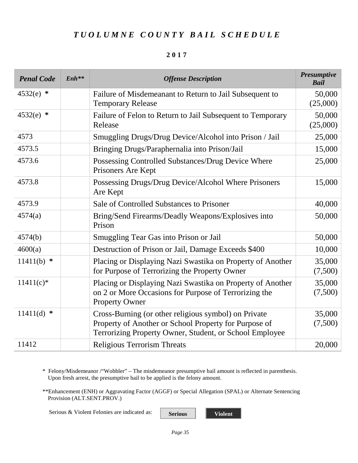#### **2017**

| <b>Penal Code</b> | $Enh**$ | <b>Offense Description</b>                                                                                                                                               | <b>Presumptive</b><br><b>Bail</b> |
|-------------------|---------|--------------------------------------------------------------------------------------------------------------------------------------------------------------------------|-----------------------------------|
| $4532(e)$ *       |         | Failure of Misdemeanant to Return to Jail Subsequent to<br><b>Temporary Release</b>                                                                                      | 50,000<br>(25,000)                |
| $4532(e)$ *       |         | Failure of Felon to Return to Jail Subsequent to Temporary<br>Release                                                                                                    | 50,000<br>(25,000)                |
| 4573              |         | Smuggling Drugs/Drug Device/Alcohol into Prison / Jail                                                                                                                   | 25,000                            |
| 4573.5            |         | Bringing Drugs/Paraphernalia into Prison/Jail                                                                                                                            | 15,000                            |
| 4573.6            |         | Possessing Controlled Substances/Drug Device Where<br>Prisoners Are Kept                                                                                                 | 25,000                            |
| 4573.8            |         | Possessing Drugs/Drug Device/Alcohol Where Prisoners<br>Are Kept                                                                                                         | 15,000                            |
| 4573.9            |         | Sale of Controlled Substances to Prisoner                                                                                                                                | 40,000                            |
| 4574(a)           |         | Bring/Send Firearms/Deadly Weapons/Explosives into<br>Prison                                                                                                             | 50,000                            |
| 4574(b)           |         | Smuggling Tear Gas into Prison or Jail                                                                                                                                   | 50,000                            |
| 4600(a)           |         | Destruction of Prison or Jail, Damage Exceeds \$400                                                                                                                      | 10,000                            |
| $11411(b)$ *      |         | Placing or Displaying Nazi Swastika on Property of Another<br>for Purpose of Terrorizing the Property Owner                                                              | 35,000<br>(7,500)                 |
| $11411(c)$ *      |         | Placing or Displaying Nazi Swastika on Property of Another<br>on 2 or More Occasions for Purpose of Terrorizing the<br><b>Property Owner</b>                             | 35,000<br>(7,500)                 |
| $11411(d)$ *      |         | Cross-Burning (or other religious symbol) on Private<br>Property of Another or School Property for Purpose of<br>Terrorizing Property Owner, Student, or School Employee | 35,000<br>(7,500)                 |
| 11412             |         | <b>Religious Terrorism Threats</b>                                                                                                                                       | 20,000                            |

\* Felony/Misdemeanor /"Wobbler" – The misdemeanor presumptive bail amount is reflected in parenthesis. Upon fresh arrest, the presumptive bail to be applied is the felony amount.

\*\*Enhancement (ENH) or Aggravating Factor (AGGF) or Special Allegation (SPAL) or Alternate Sentencing Provision (ALT.SENT.PROV.)

Serious & Violent Felonies are indicated as: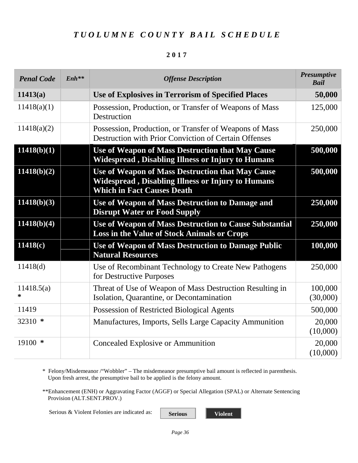#### **2017**

| <b>Penal Code</b>    | $Enh$ ** | <b>Offense Description</b>                                                                                                                        | <b>Presumptive</b><br><b>Bail</b> |
|----------------------|----------|---------------------------------------------------------------------------------------------------------------------------------------------------|-----------------------------------|
| 11413(a)             |          | <b>Use of Explosives in Terrorism of Specified Places</b>                                                                                         | 50,000                            |
| 11418(a)(1)          |          | Possession, Production, or Transfer of Weapons of Mass<br>Destruction                                                                             | 125,000                           |
| 11418(a)(2)          |          | Possession, Production, or Transfer of Weapons of Mass<br>Destruction with Prior Conviction of Certain Offenses                                   | 250,000                           |
| 11418(b)(1)          |          | Use of Weapon of Mass Destruction that May Cause<br>Widespread, Disabling Illness or Injury to Humans                                             | 500,000                           |
| 11418(b)(2)          |          | Use of Weapon of Mass Destruction that May Cause<br><b>Widespread, Disabling Illness or Injury to Humans</b><br><b>Which in Fact Causes Death</b> | 500,000                           |
| 11418(b)(3)          |          | Use of Weapon of Mass Destruction to Damage and<br><b>Disrupt Water or Food Supply</b>                                                            | 250,000                           |
| 11418(b)(4)          |          | Use of Weapon of Mass Destruction to Cause Substantial<br>Loss in the Value of Stock Animals or Crops                                             | 250,000                           |
| 11418(c)             |          | Use of Weapon of Mass Destruction to Damage Public<br><b>Natural Resources</b>                                                                    | 100,000                           |
| 11418(d)             |          | Use of Recombinant Technology to Create New Pathogens<br>for Destructive Purposes                                                                 | 250,000                           |
| 11418.5(a)<br>$\ast$ |          | Threat of Use of Weapon of Mass Destruction Resulting in<br>Isolation, Quarantine, or Decontamination                                             | 100,000<br>(30,000)               |
| 11419                |          | Possession of Restricted Biological Agents                                                                                                        | 500,000                           |
| 32310 $*$            |          | Manufactures, Imports, Sells Large Capacity Ammunition                                                                                            | 20,000<br>(10,000)                |
| $19100$ *            |          | <b>Concealed Explosive or Ammunition</b>                                                                                                          | 20,000<br>(10,000)                |

\* Felony/Misdemeanor /"Wobbler" – The misdemeanor presumptive bail amount is reflected in parenthesis. Upon fresh arrest, the presumptive bail to be applied is the felony amount.

\*\*Enhancement (ENH) or Aggravating Factor (AGGF) or Special Allegation (SPAL) or Alternate Sentencing Provision (ALT.SENT.PROV.)

Serious & Violent Felonies are indicated as: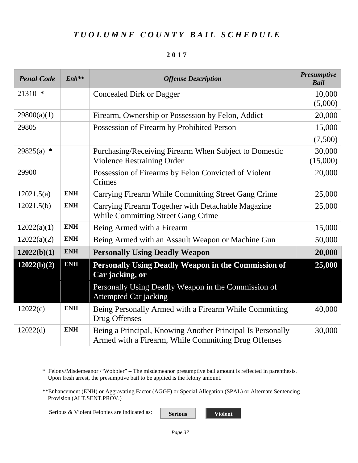#### **2017**

| <b>Penal Code</b> | $Enh**$    | <b>Offense Description</b>                                                                                         | <b>Presumptive</b><br><b>Bail</b> |
|-------------------|------------|--------------------------------------------------------------------------------------------------------------------|-----------------------------------|
| $21310 *$         |            | <b>Concealed Dirk or Dagger</b>                                                                                    | 10,000                            |
|                   |            |                                                                                                                    | (5,000)                           |
| 29800(a)(1)       |            | Firearm, Ownership or Possession by Felon, Addict                                                                  | 20,000                            |
| 29805             |            | Possession of Firearm by Prohibited Person                                                                         | 15,000                            |
|                   |            |                                                                                                                    | (7,500)                           |
| $29825(a)$ *      |            | Purchasing/Receiving Firearm When Subject to Domestic                                                              | 30,000                            |
|                   |            | <b>Violence Restraining Order</b>                                                                                  | (15,000)                          |
| 29900             |            | Possession of Firearms by Felon Convicted of Violent<br>Crimes                                                     | 20,000                            |
| 12021.5(a)        | <b>ENH</b> | Carrying Firearm While Committing Street Gang Crime                                                                | 25,000                            |
| 12021.5(b)        | <b>ENH</b> | Carrying Firearm Together with Detachable Magazine<br><b>While Committing Street Gang Crime</b>                    | 25,000                            |
| 12022(a)(1)       | <b>ENH</b> | Being Armed with a Firearm                                                                                         | 15,000                            |
| 12022(a)(2)       | <b>ENH</b> | Being Armed with an Assault Weapon or Machine Gun                                                                  | 50,000                            |
| 12022(b)(1)       | <b>ENH</b> | <b>Personally Using Deadly Weapon</b>                                                                              | 20,000                            |
| 12022(b)(2)       | <b>ENH</b> | <b>Personally Using Deadly Weapon in the Commission of</b><br>Car jacking, or                                      | 25,000                            |
|                   |            | Personally Using Deadly Weapon in the Commission of<br><b>Attempted Car jacking</b>                                |                                   |
| 12022(c)          | <b>ENH</b> | Being Personally Armed with a Firearm While Committing<br>Drug Offenses                                            | 40,000                            |
| 12022(d)          | <b>ENH</b> | Being a Principal, Knowing Another Principal Is Personally<br>Armed with a Firearm, While Committing Drug Offenses | 30,000                            |

\* Felony/Misdemeanor /"Wobbler" – The misdemeanor presumptive bail amount is reflected in parenthesis. Upon fresh arrest, the presumptive bail to be applied is the felony amount.

\*\*Enhancement (ENH) or Aggravating Factor (AGGF) or Special Allegation (SPAL) or Alternate Sentencing Provision (ALT.SENT.PROV.)

Serious & Violent Felonies are indicated as: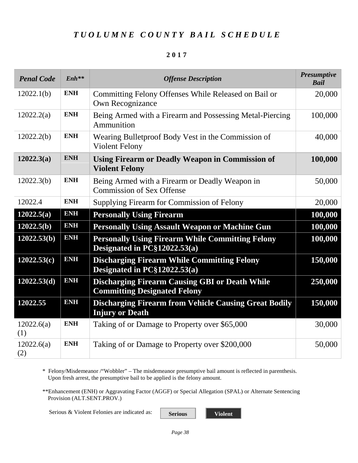#### **2017**

| <b>Penal Code</b> | $Enh**$    | <b>Offense Description</b>                                                                   | <b>Presumptive</b><br><b>Bail</b> |
|-------------------|------------|----------------------------------------------------------------------------------------------|-----------------------------------|
| 12022.1(b)        | <b>ENH</b> | Committing Felony Offenses While Released on Bail or<br><b>Own Recognizance</b>              | 20,000                            |
| 12022.2(a)        | <b>ENH</b> | Being Armed with a Firearm and Possessing Metal-Piercing<br>Ammunition                       | 100,000                           |
| 12022.2(b)        | <b>ENH</b> | Wearing Bulletproof Body Vest in the Commission of<br><b>Violent Felony</b>                  | 40,000                            |
| 12022.3(a)        | <b>ENH</b> | <b>Using Firearm or Deadly Weapon in Commission of</b><br><b>Violent Felony</b>              | 100,000                           |
| 12022.3(b)        | <b>ENH</b> | Being Armed with a Firearm or Deadly Weapon in<br><b>Commission of Sex Offense</b>           | 50,000                            |
| 12022.4           | <b>ENH</b> | Supplying Firearm for Commission of Felony                                                   | 20,000                            |
| 12022.5(a)        | <b>ENH</b> | <b>Personally Using Firearm</b>                                                              | 100,000                           |
| 12022.5(b)        | <b>ENH</b> | <b>Personally Using Assault Weapon or Machine Gun</b>                                        | 100,000                           |
| 12022.53(b)       | <b>ENH</b> | <b>Personally Using Firearm While Committing Felony</b><br>Designated in $PC\$ $12022.53(a)$ | 100,000                           |
| 12022.53(c)       | <b>ENH</b> | <b>Discharging Firearm While Committing Felony</b><br>Designated in $PC\$ $12022.53(a)$      | 150,000                           |
| 12022.53(d)       | <b>ENH</b> | <b>Discharging Firearm Causing GBI or Death While</b><br><b>Committing Designated Felony</b> | 250,000                           |
| 12022.55          | <b>ENH</b> | <b>Discharging Firearm from Vehicle Causing Great Bodily</b><br><b>Injury or Death</b>       | 150,000                           |
| 12022.6(a)<br>(1) | <b>ENH</b> | Taking of or Damage to Property over \$65,000                                                | 30,000                            |
| 12022.6(a)<br>(2) | <b>ENH</b> | Taking of or Damage to Property over \$200,000                                               | 50,000                            |

\* Felony/Misdemeanor /"Wobbler" – The misdemeanor presumptive bail amount is reflected in parenthesis. Upon fresh arrest, the presumptive bail to be applied is the felony amount.

\*\*Enhancement (ENH) or Aggravating Factor (AGGF) or Special Allegation (SPAL) or Alternate Sentencing Provision (ALT.SENT.PROV.)

Serious & Violent Felonies are indicated as: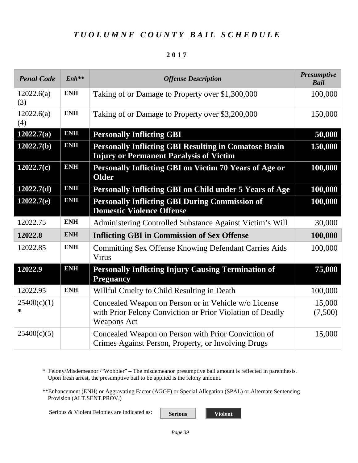#### **2017**

| <b>Penal Code</b> | $Enh***$   | <b>Offense Description</b>                                                                                                              | <b>Presumptive</b><br><b>Bail</b> |
|-------------------|------------|-----------------------------------------------------------------------------------------------------------------------------------------|-----------------------------------|
| 12022.6(a)<br>(3) | <b>ENH</b> | Taking of or Damage to Property over \$1,300,000                                                                                        | 100,000                           |
| 12022.6(a)<br>(4) | <b>ENH</b> | Taking of or Damage to Property over \$3,200,000                                                                                        | 150,000                           |
| 12022.7(a)        | <b>ENH</b> | <b>Personally Inflicting GBI</b>                                                                                                        | 50,000                            |
| 12022.7(b)        | <b>ENH</b> | <b>Personally Inflicting GBI Resulting in Comatose Brain</b><br><b>Injury or Permanent Paralysis of Victim</b>                          | 150,000                           |
| 12022.7(c)        | <b>ENH</b> | Personally Inflicting GBI on Victim 70 Years of Age or<br><b>Older</b>                                                                  | 100,000                           |
| 12022.7(d)        | <b>ENH</b> | Personally Inflicting GBI on Child under 5 Years of Age                                                                                 | 100,000                           |
| 12022.7(e)        | <b>ENH</b> | <b>Personally Inflicting GBI During Commission of</b><br><b>Domestic Violence Offense</b>                                               | 100,000                           |
| 12022.75          | <b>ENH</b> | Administering Controlled Substance Against Victim's Will                                                                                | 30,000                            |
| 12022.8           | <b>ENH</b> | <b>Inflicting GBI in Commission of Sex Offense</b>                                                                                      | 100,000                           |
| 12022.85          | <b>ENH</b> | <b>Committing Sex Offense Knowing Defendant Carries Aids</b><br>Virus                                                                   | 100,000                           |
| 12022.9           | <b>ENH</b> | <b>Personally Inflicting Injury Causing Termination of</b><br><b>Pregnancy</b>                                                          | 75,000                            |
| 12022.95          | <b>ENH</b> | Willful Cruelty to Child Resulting in Death                                                                                             | 100,000                           |
| 25400(c)(1)<br>*  |            | Concealed Weapon on Person or in Vehicle w/o License<br>with Prior Felony Conviction or Prior Violation of Deadly<br><b>Weapons Act</b> | 15,000<br>(7,500)                 |
| 25400(c)(5)       |            | Concealed Weapon on Person with Prior Conviction of<br>Crimes Against Person, Property, or Involving Drugs                              | 15,000                            |

\* Felony/Misdemeanor /"Wobbler" – The misdemeanor presumptive bail amount is reflected in parenthesis. Upon fresh arrest, the presumptive bail to be applied is the felony amount.

\*\*Enhancement (ENH) or Aggravating Factor (AGGF) or Special Allegation (SPAL) or Alternate Sentencing Provision (ALT.SENT.PROV.)

Serious & Violent Felonies are indicated as: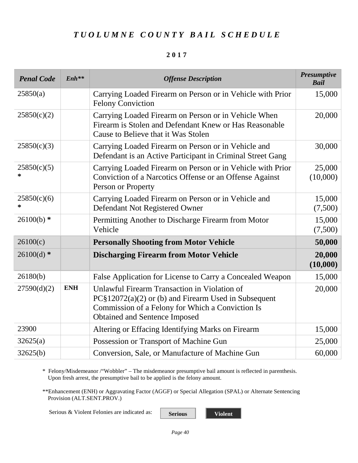#### **2017**

| <b>Penal Code</b> | $Enh**$    | <b>Offense Description</b>                                                                                                                                                                  | <b>Presumptive</b><br><b>Bail</b> |
|-------------------|------------|---------------------------------------------------------------------------------------------------------------------------------------------------------------------------------------------|-----------------------------------|
| 25850(a)          |            | Carrying Loaded Firearm on Person or in Vehicle with Prior<br><b>Felony Conviction</b>                                                                                                      | 15,000                            |
| 25850(c)(2)       |            | Carrying Loaded Firearm on Person or in Vehicle When<br>Firearm is Stolen and Defendant Knew or Has Reasonable<br>Cause to Believe that it Was Stolen                                       | 20,000                            |
| 25850(c)(3)       |            | Carrying Loaded Firearm on Person or in Vehicle and<br>Defendant is an Active Participant in Criminal Street Gang                                                                           | 30,000                            |
| 25850(c)(5)<br>*  |            | Carrying Loaded Firearm on Person or in Vehicle with Prior<br>Conviction of a Narcotics Offense or an Offense Against<br>Person or Property                                                 | 25,000<br>(10,000)                |
| 25850(c)(6)<br>*  |            | Carrying Loaded Firearm on Person or in Vehicle and<br>Defendant Not Registered Owner                                                                                                       | 15,000<br>(7,500)                 |
| $26100(b)$ *      |            | Permitting Another to Discharge Firearm from Motor<br>Vehicle                                                                                                                               | 15,000<br>(7,500)                 |
| 26100(c)          |            | <b>Personally Shooting from Motor Vehicle</b>                                                                                                                                               | 50,000                            |
| $26100(d)$ *      |            | <b>Discharging Firearm from Motor Vehicle</b>                                                                                                                                               | 20,000<br>(10,000)                |
| 26180(b)          |            | False Application for License to Carry a Concealed Weapon                                                                                                                                   | 15,000                            |
| 27590(d)(2)       | <b>ENH</b> | Unlawful Firearm Transaction in Violation of<br>$PC$12072(a)(2)$ or (b) and Firearm Used in Subsequent<br>Commission of a Felony for Which a Conviction Is<br>Obtained and Sentence Imposed | 20,000                            |
| 23900             |            | Altering or Effacing Identifying Marks on Firearm                                                                                                                                           | 15,000                            |
| 32625(a)          |            | Possession or Transport of Machine Gun                                                                                                                                                      | 25,000                            |
| 32625(b)          |            | Conversion, Sale, or Manufacture of Machine Gun                                                                                                                                             | 60,000                            |

\* Felony/Misdemeanor /"Wobbler" – The misdemeanor presumptive bail amount is reflected in parenthesis. Upon fresh arrest, the presumptive bail to be applied is the felony amount.

\*\*Enhancement (ENH) or Aggravating Factor (AGGF) or Special Allegation (SPAL) or Alternate Sentencing Provision (ALT.SENT.PROV.)

Serious & Violent Felonies are indicated as: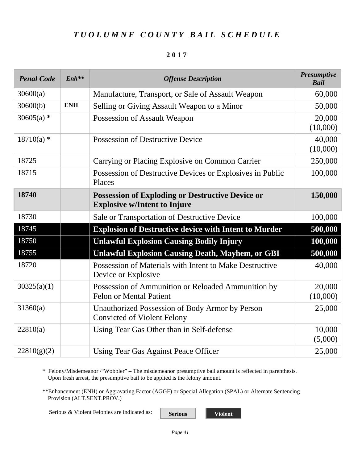#### **2017**

| <b>Penal Code</b> | $Enh**$    | <b>Offense Description</b>                                                                     | <b>Presumptive</b><br><b>Bail</b> |
|-------------------|------------|------------------------------------------------------------------------------------------------|-----------------------------------|
| 30600(a)          |            | Manufacture, Transport, or Sale of Assault Weapon                                              | 60,000                            |
| 30600(b)          | <b>ENH</b> | Selling or Giving Assault Weapon to a Minor                                                    | 50,000                            |
| $30605(a)$ *      |            | Possession of Assault Weapon                                                                   | 20,000<br>(10,000)                |
| $18710(a)$ *      |            | <b>Possession of Destructive Device</b>                                                        | 40,000<br>(10,000)                |
| 18725             |            | Carrying or Placing Explosive on Common Carrier                                                | 250,000                           |
| 18715             |            | Possession of Destructive Devices or Explosives in Public<br>Places                            | 100,000                           |
| 18740             |            | <b>Possession of Exploding or Destructive Device or</b><br><b>Explosive w/Intent to Injure</b> | 150,000                           |
| 18730             |            | Sale or Transportation of Destructive Device                                                   | 100,000                           |
| 18745             |            | <b>Explosion of Destructive device with Intent to Murder</b>                                   | 500,000                           |
| 18750             |            | <b>Unlawful Explosion Causing Bodily Injury</b>                                                | 100,000                           |
| 18755             |            | <b>Unlawful Explosion Causing Death, Mayhem, or GBI</b>                                        | 500,000                           |
| 18720             |            | Possession of Materials with Intent to Make Destructive<br>Device or Explosive                 | 40,000                            |
| 30325(a)(1)       |            | Possession of Ammunition or Reloaded Ammunition by<br><b>Felon or Mental Patient</b>           | 20,000<br>(10,000)                |
| 31360(a)          |            | Unauthorized Possession of Body Armor by Person<br><b>Convicted of Violent Felony</b>          | 25,000                            |
| 22810(a)          |            | Using Tear Gas Other than in Self-defense                                                      | 10,000<br>(5,000)                 |
| 22810(g)(2)       |            | Using Tear Gas Against Peace Officer                                                           | 25,000                            |

\* Felony/Misdemeanor /"Wobbler" – The misdemeanor presumptive bail amount is reflected in parenthesis. Upon fresh arrest, the presumptive bail to be applied is the felony amount.

\*\*Enhancement (ENH) or Aggravating Factor (AGGF) or Special Allegation (SPAL) or Alternate Sentencing Provision (ALT.SENT.PROV.)

Serious & Violent Felonies are indicated as: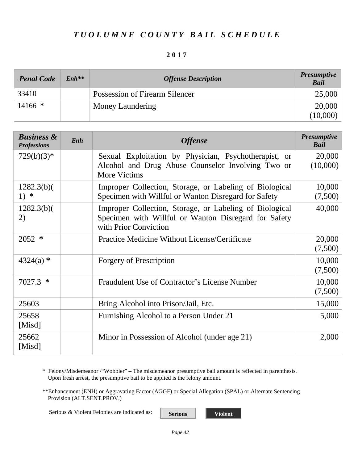#### **2017**

| <b>Penal Code</b> | $Enh***$ | <b>Offense Description</b>     | <b>Presumptive</b><br><b>Bail</b> |
|-------------------|----------|--------------------------------|-----------------------------------|
| 33410             |          | Possession of Firearm Silencer | 25,000                            |
| $14166$ *         |          | Money Laundering               | 20,000                            |
|                   |          |                                | (10,000)                          |

<span id="page-43-0"></span>

| <b>Business &amp;</b><br><b>Professions</b> | Enh | <b>Offense</b>                                                                                                                           | <b>Presumptive</b><br><b>Bail</b> |
|---------------------------------------------|-----|------------------------------------------------------------------------------------------------------------------------------------------|-----------------------------------|
| $729(b)(3)*$                                |     | Sexual Exploitation by Physician, Psychotherapist, or<br>Alcohol and Drug Abuse Counselor Involving Two or<br><b>More Victims</b>        | 20,000<br>(10,000)                |
| 1282.3(b)<br>1) $*$                         |     | Improper Collection, Storage, or Labeling of Biological<br>Specimen with Willful or Wanton Disregard for Safety                          | 10,000<br>(7,500)                 |
| 1282.3(b)<br>2)                             |     | Improper Collection, Storage, or Labeling of Biological<br>Specimen with Willful or Wanton Disregard for Safety<br>with Prior Conviction | 40,000                            |
| $2052$ *                                    |     | Practice Medicine Without License/Certificate                                                                                            | 20,000<br>(7,500)                 |
| $4324(a)$ *                                 |     | <b>Forgery of Prescription</b>                                                                                                           | 10,000<br>(7,500)                 |
| $7027.3$ *                                  |     | Fraudulent Use of Contractor's License Number                                                                                            | 10,000<br>(7,500)                 |
| 25603                                       |     | Bring Alcohol into Prison/Jail, Etc.                                                                                                     | 15,000                            |
| 25658<br>[Misd]                             |     | Furnishing Alcohol to a Person Under 21                                                                                                  | 5,000                             |
| 25662<br>[Misd]                             |     | Minor in Possession of Alcohol (under age 21)                                                                                            | 2,000                             |

\* Felony/Misdemeanor /"Wobbler" – The misdemeanor presumptive bail amount is reflected in parenthesis. Upon fresh arrest, the presumptive bail to be applied is the felony amount.

\*\*Enhancement (ENH) or Aggravating Factor (AGGF) or Special Allegation (SPAL) or Alternate Sentencing Provision (ALT.SENT.PROV.)

Serious & Violent Felonies are indicated as: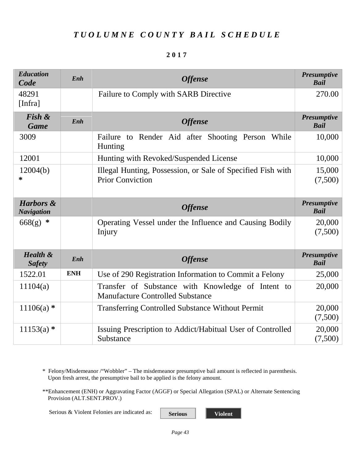#### **2017**

<span id="page-44-2"></span><span id="page-44-1"></span><span id="page-44-0"></span>

| <b>Education</b><br>Code                  | Enh        | <b>Offense</b>                                                                               | <b>Presumptive</b><br><b>Bail</b> |
|-------------------------------------------|------------|----------------------------------------------------------------------------------------------|-----------------------------------|
| 48291<br>[Infra]                          |            | Failure to Comply with SARB Directive                                                        | 270.00                            |
| Fish &<br><b>Game</b>                     | Enh        | <b>Offense</b>                                                                               | <b>Presumptive</b><br><b>Bail</b> |
| 3009                                      |            | Failure to Render Aid after Shooting Person<br>While<br>Hunting                              | 10,000                            |
| 12001                                     |            | Hunting with Revoked/Suspended License                                                       | 10,000                            |
| 12004(b)<br>∗                             |            | Illegal Hunting, Possession, or Sale of Specified Fish with<br><b>Prior Conviction</b>       | 15,000<br>(7,500)                 |
| <b>Harbors &amp;</b><br><b>Navigation</b> |            | <b>Offense</b>                                                                               | <b>Presumptive</b><br><b>Bail</b> |
| $668(g)$ *                                |            | Operating Vessel under the Influence and Causing Bodily<br>Injury                            | 20,000<br>(7,500)                 |
| <b>Health &amp;</b><br><b>Safety</b>      | Enh        | <b>Offense</b>                                                                               | <b>Presumptive</b><br><b>Bail</b> |
| 1522.01                                   | <b>ENH</b> | Use of 290 Registration Information to Commit a Felony                                       | 25,000                            |
| 11104(a)                                  |            | Transfer of Substance with Knowledge of Intent to<br><b>Manufacture Controlled Substance</b> | 20,000                            |
| $11106(a)$ *                              |            | <b>Transferring Controlled Substance Without Permit</b>                                      | 20,000<br>(7,500)                 |
| $11153(a)$ *                              |            | Issuing Prescription to Addict/Habitual User of Controlled<br>Substance                      | 20,000<br>(7,500)                 |

<span id="page-44-3"></span>\* Felony/Misdemeanor /"Wobbler" – The misdemeanor presumptive bail amount is reflected in parenthesis. Upon fresh arrest, the presumptive bail to be applied is the felony amount.

\*\*Enhancement (ENH) or Aggravating Factor (AGGF) or Special Allegation (SPAL) or Alternate Sentencing Provision (ALT.SENT.PROV.)

Serious & Violent Felonies are indicated as: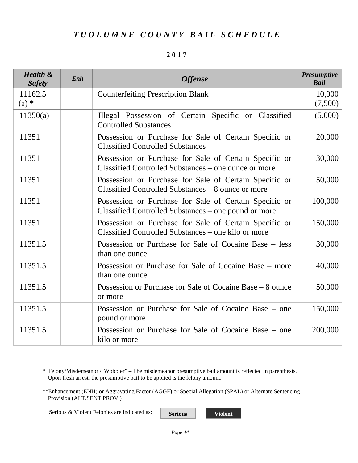#### **2017**

| <b>Health &amp;</b><br><b>Safety</b> | Enh | <b>Offense</b>                                                                                                 | <b>Presumptive</b><br><b>Bail</b> |
|--------------------------------------|-----|----------------------------------------------------------------------------------------------------------------|-----------------------------------|
| 11162.5<br>$(a)$ *                   |     | <b>Counterfeiting Prescription Blank</b>                                                                       | 10,000<br>(7,500)                 |
| 11350(a)                             |     | Illegal Possession of Certain Specific or Classified<br><b>Controlled Substances</b>                           | (5,000)                           |
| 11351                                |     | Possession or Purchase for Sale of Certain Specific or<br><b>Classified Controlled Substances</b>              | 20,000                            |
| 11351                                |     | Possession or Purchase for Sale of Certain Specific or<br>Classified Controlled Substances – one ounce or more | 30,000                            |
| 11351                                |     | Possession or Purchase for Sale of Certain Specific or<br>Classified Controlled Substances – 8 ounce or more   | 50,000                            |
| 11351                                |     | Possession or Purchase for Sale of Certain Specific or<br>Classified Controlled Substances - one pound or more | 100,000                           |
| 11351                                |     | Possession or Purchase for Sale of Certain Specific or<br>Classified Controlled Substances – one kilo or more  | 150,000                           |
| 11351.5                              |     | Possession or Purchase for Sale of Cocaine Base – less<br>than one ounce                                       | 30,000                            |
| 11351.5                              |     | Possession or Purchase for Sale of Cocaine Base – more<br>than one ounce                                       | 40,000                            |
| 11351.5                              |     | Possession or Purchase for Sale of Cocaine Base – 8 ounce<br>or more                                           | 50,000                            |
| 11351.5                              |     | Possession or Purchase for Sale of Cocaine Base – one<br>pound or more                                         | 150,000                           |
| 11351.5                              |     | Possession or Purchase for Sale of Cocaine Base – one<br>kilo or more                                          | 200,000                           |

\* Felony/Misdemeanor /"Wobbler" – The misdemeanor presumptive bail amount is reflected in parenthesis. Upon fresh arrest, the presumptive bail to be applied is the felony amount.

\*\*Enhancement (ENH) or Aggravating Factor (AGGF) or Special Allegation (SPAL) or Alternate Sentencing Provision (ALT.SENT.PROV.)

Serious & Violent Felonies are indicated as: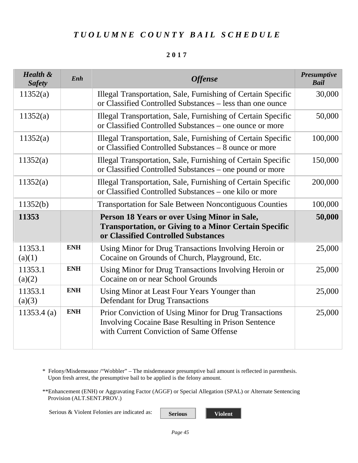| <b>Health &amp;</b><br><b>Safety</b> | Enh        | <b>Offense</b>                                                                                                                                                 | <b>Presumptive</b><br><b>Bail</b> |
|--------------------------------------|------------|----------------------------------------------------------------------------------------------------------------------------------------------------------------|-----------------------------------|
| 11352(a)                             |            | Illegal Transportation, Sale, Furnishing of Certain Specific<br>or Classified Controlled Substances - less than one ounce                                      | 30,000                            |
| 11352(a)                             |            | Illegal Transportation, Sale, Furnishing of Certain Specific<br>or Classified Controlled Substances - one ounce or more                                        | 50,000                            |
| 11352(a)                             |            | Illegal Transportation, Sale, Furnishing of Certain Specific<br>or Classified Controlled Substances - 8 ounce or more                                          | 100,000                           |
| 11352(a)                             |            | Illegal Transportation, Sale, Furnishing of Certain Specific<br>or Classified Controlled Substances - one pound or more                                        | 150,000                           |
| 11352(a)                             |            | Illegal Transportation, Sale, Furnishing of Certain Specific<br>or Classified Controlled Substances - one kilo or more                                         | 200,000                           |
| 11352(b)                             |            | Transportation for Sale Between Noncontiguous Counties                                                                                                         | 100,000                           |
| 11353                                |            | Person 18 Years or over Using Minor in Sale,<br><b>Transportation, or Giving to a Minor Certain Specific</b><br>or Classified Controlled Substances            | 50,000                            |
| 11353.1<br>(a)(1)                    | <b>ENH</b> | Using Minor for Drug Transactions Involving Heroin or<br>Cocaine on Grounds of Church, Playground, Etc.                                                        | 25,000                            |
| 11353.1<br>(a)(2)                    | <b>ENH</b> | Using Minor for Drug Transactions Involving Heroin or<br>Cocaine on or near School Grounds                                                                     | 25,000                            |
| 11353.1<br>(a)(3)                    | <b>ENH</b> | Using Minor at Least Four Years Younger than<br><b>Defendant for Drug Transactions</b>                                                                         | 25,000                            |
| $11353.4$ (a)                        | <b>ENH</b> | Prior Conviction of Using Minor for Drug Transactions<br><b>Involving Cocaine Base Resulting in Prison Sentence</b><br>with Current Conviction of Same Offense | 25,000                            |

\* Felony/Misdemeanor /"Wobbler" – The misdemeanor presumptive bail amount is reflected in parenthesis. Upon fresh arrest, the presumptive bail to be applied is the felony amount.

\*\*Enhancement (ENH) or Aggravating Factor (AGGF) or Special Allegation (SPAL) or Alternate Sentencing Provision (ALT.SENT.PROV.)

Serious & Violent Felonies are indicated as: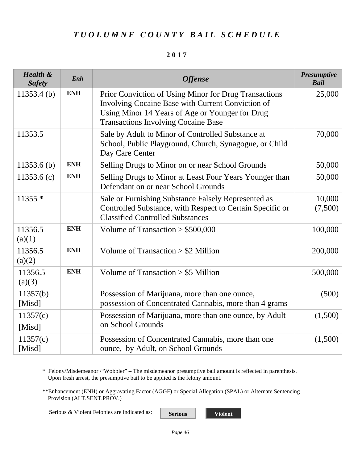#### **2017**

| <b>Health &amp;</b><br><b>Safety</b> | Enh        | <b>Offense</b>                                                                                                                                                                                              | <b>Presumptive</b><br><b>Bail</b> |
|--------------------------------------|------------|-------------------------------------------------------------------------------------------------------------------------------------------------------------------------------------------------------------|-----------------------------------|
| $11353.4$ (b)                        | <b>ENH</b> | Prior Conviction of Using Minor for Drug Transactions<br>Involving Cocaine Base with Current Conviction of<br>Using Minor 14 Years of Age or Younger for Drug<br><b>Transactions Involving Cocaine Base</b> | 25,000                            |
| 11353.5                              |            | Sale by Adult to Minor of Controlled Substance at<br>School, Public Playground, Church, Synagogue, or Child<br>Day Care Center                                                                              | 70,000                            |
| $11353.6$ (b)                        | <b>ENH</b> | Selling Drugs to Minor on or near School Grounds                                                                                                                                                            | 50,000                            |
| 11353.6 $(c)$                        | <b>ENH</b> | Selling Drugs to Minor at Least Four Years Younger than<br>Defendant on or near School Grounds                                                                                                              | 50,000                            |
| 11355 *                              |            | Sale or Furnishing Substance Falsely Represented as<br>Controlled Substance, with Respect to Certain Specific or<br><b>Classified Controlled Substances</b>                                                 | 10,000<br>(7,500)                 |
| 11356.5<br>(a)(1)                    | <b>ENH</b> | Volume of Transaction $> $500,000$                                                                                                                                                                          | 100,000                           |
| 11356.5<br>(a)(2)                    | <b>ENH</b> | Volume of Transaction $> $2$ Million                                                                                                                                                                        | 200,000                           |
| 11356.5<br>(a)(3)                    | <b>ENH</b> | Volume of Transaction $> $5$ Million                                                                                                                                                                        | 500,000                           |
| 11357(b)<br>[Misd]                   |            | Possession of Marijuana, more than one ounce,<br>possession of Concentrated Cannabis, more than 4 grams                                                                                                     | (500)                             |
| 11357(c)<br>[Misd]                   |            | Possession of Marijuana, more than one ounce, by Adult<br>on School Grounds                                                                                                                                 | (1,500)                           |
| 11357(c)<br>[Misd]                   |            | Possession of Concentrated Cannabis, more than one<br>ounce, by Adult, on School Grounds                                                                                                                    | (1,500)                           |

\* Felony/Misdemeanor /"Wobbler" – The misdemeanor presumptive bail amount is reflected in parenthesis. Upon fresh arrest, the presumptive bail to be applied is the felony amount.

\*\*Enhancement (ENH) or Aggravating Factor (AGGF) or Special Allegation (SPAL) or Alternate Sentencing Provision (ALT.SENT.PROV.)

Serious & Violent Felonies are indicated as: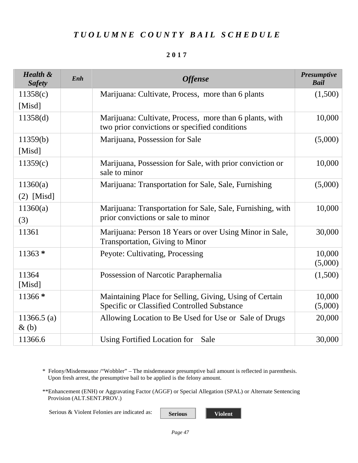#### **2017**

| <b>Health &amp;</b><br><b>Safety</b> | Enh | <b>Offense</b>                                                                                           | Presumptive<br><b>Bail</b> |
|--------------------------------------|-----|----------------------------------------------------------------------------------------------------------|----------------------------|
| 11358(c)                             |     | Marijuana: Cultivate, Process, more than 6 plants                                                        | (1,500)                    |
| [Misd]                               |     |                                                                                                          |                            |
| 11358(d)                             |     | Marijuana: Cultivate, Process, more than 6 plants, with<br>two prior convictions or specified conditions | 10,000                     |
| 11359(b)                             |     | Marijuana, Possession for Sale                                                                           | (5,000)                    |
| [Misd]                               |     |                                                                                                          |                            |
| 11359(c)                             |     | Marijuana, Possession for Sale, with prior conviction or<br>sale to minor                                | 10,000                     |
| 11360(a)                             |     | Marijuana: Transportation for Sale, Sale, Furnishing                                                     | (5,000)                    |
| $(2)$ [Misd]                         |     |                                                                                                          |                            |
| 11360(a)                             |     | Marijuana: Transportation for Sale, Sale, Furnishing, with                                               | 10,000                     |
| (3)                                  |     | prior convictions or sale to minor                                                                       |                            |
| 11361                                |     | Marijuana: Person 18 Years or over Using Minor in Sale,<br><b>Transportation, Giving to Minor</b>        | 30,000                     |
| $11363*$                             |     | Peyote: Cultivating, Processing                                                                          | 10,000<br>(5,000)          |
| 11364<br>[Misd]                      |     | Possession of Narcotic Paraphernalia                                                                     | (1,500)                    |
| 11366 *                              |     | Maintaining Place for Selling, Giving, Using of Certain<br>Specific or Classified Controlled Substance   | 10,000<br>(5,000)          |
| $11366.5$ (a)<br>$\&$ (b)            |     | Allowing Location to Be Used for Use or Sale of Drugs                                                    | 20,000                     |
| 11366.6                              |     | Using Fortified Location for<br>Sale                                                                     | 30,000                     |

\* Felony/Misdemeanor /"Wobbler" – The misdemeanor presumptive bail amount is reflected in parenthesis. Upon fresh arrest, the presumptive bail to be applied is the felony amount.

\*\*Enhancement (ENH) or Aggravating Factor (AGGF) or Special Allegation (SPAL) or Alternate Sentencing Provision (ALT.SENT.PROV.)

Serious & Violent Felonies are indicated as: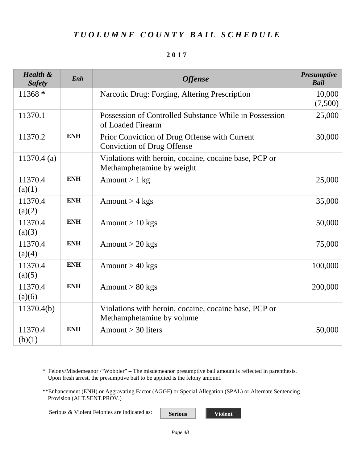#### **2017**

| <b>Health &amp;</b><br><b>Safety</b> | Enh        | <b>Offense</b>                                                                     | <b>Presumptive</b><br><b>Bail</b> |
|--------------------------------------|------------|------------------------------------------------------------------------------------|-----------------------------------|
| $11368*$                             |            | Narcotic Drug: Forging, Altering Prescription                                      | 10,000<br>(7,500)                 |
| 11370.1                              |            | Possession of Controlled Substance While in Possession<br>of Loaded Firearm        | 25,000                            |
| 11370.2                              | <b>ENH</b> | Prior Conviction of Drug Offense with Current<br><b>Conviction of Drug Offense</b> | 30,000                            |
| $11370.4$ (a)                        |            | Violations with heroin, cocaine, cocaine base, PCP or<br>Methamphetamine by weight |                                   |
| 11370.4<br>(a)(1)                    | <b>ENH</b> | Amount $> 1$ kg                                                                    | 25,000                            |
| 11370.4<br>(a)(2)                    | <b>ENH</b> | Amount $>$ 4 kgs                                                                   | 35,000                            |
| 11370.4<br>(a)(3)                    | <b>ENH</b> | Amount $> 10$ kgs                                                                  | 50,000                            |
| 11370.4<br>(a)(4)                    | <b>ENH</b> | Amount $>$ 20 kgs                                                                  | 75,000                            |
| 11370.4<br>(a)(5)                    | <b>ENH</b> | Amount $> 40$ kgs                                                                  | 100,000                           |
| 11370.4<br>(a)(6)                    | <b>ENH</b> | Amount $> 80$ kgs                                                                  | 200,000                           |
| 11370.4(b)                           |            | Violations with heroin, cocaine, cocaine base, PCP or<br>Methamphetamine by volume |                                   |
| 11370.4<br>(b)(1)                    | <b>ENH</b> | Amount $>$ 30 liters                                                               | 50,000                            |

\* Felony/Misdemeanor /"Wobbler" – The misdemeanor presumptive bail amount is reflected in parenthesis. Upon fresh arrest, the presumptive bail to be applied is the felony amount.

\*\*Enhancement (ENH) or Aggravating Factor (AGGF) or Special Allegation (SPAL) or Alternate Sentencing Provision (ALT.SENT.PROV.)

Serious & Violent Felonies are indicated as: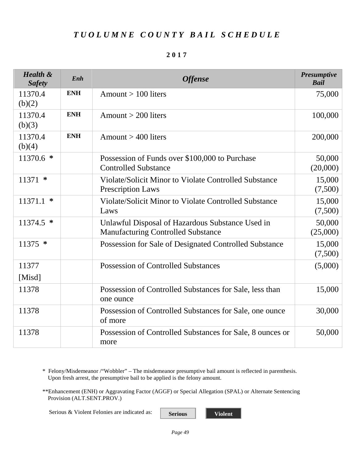| <b>Health &amp;</b><br><b>Safety</b> | Enh        | <b>Offense</b>                                                                                | <b>Presumptive</b><br><b>Bail</b> |
|--------------------------------------|------------|-----------------------------------------------------------------------------------------------|-----------------------------------|
| 11370.4<br>(b)(2)                    | <b>ENH</b> | Amount $> 100$ liters                                                                         | 75,000                            |
| 11370.4<br>(b)(3)                    | <b>ENH</b> | Amount $>$ 200 liters                                                                         | 100,000                           |
| 11370.4<br>(b)(4)                    | <b>ENH</b> | Amount $>$ 400 liters                                                                         | 200,000                           |
| $11370.6$ *                          |            | Possession of Funds over \$100,000 to Purchase<br><b>Controlled Substance</b>                 | 50,000<br>(20,000)                |
| $11371$ *                            |            | Violate/Solicit Minor to Violate Controlled Substance<br><b>Prescription Laws</b>             | 15,000<br>(7,500)                 |
| 11371.1<br>∗                         |            | Violate/Solicit Minor to Violate Controlled Substance<br>Laws                                 | 15,000<br>(7,500)                 |
| $11374.5$ *                          |            | Unlawful Disposal of Hazardous Substance Used in<br><b>Manufacturing Controlled Substance</b> | 50,000<br>(25,000)                |
| $11375$ *                            |            | Possession for Sale of Designated Controlled Substance                                        | 15,000<br>(7,500)                 |
| 11377<br>[Misd]                      |            | <b>Possession of Controlled Substances</b>                                                    | (5,000)                           |
| 11378                                |            | Possession of Controlled Substances for Sale, less than<br>one ounce                          | 15,000                            |
| 11378                                |            | Possession of Controlled Substances for Sale, one ounce<br>of more                            | 30,000                            |
| 11378                                |            | Possession of Controlled Substances for Sale, 8 ounces or<br>more                             | 50,000                            |

#### **2017**

\* Felony/Misdemeanor /"Wobbler" – The misdemeanor presumptive bail amount is reflected in parenthesis. Upon fresh arrest, the presumptive bail to be applied is the felony amount.

\*\*Enhancement (ENH) or Aggravating Factor (AGGF) or Special Allegation (SPAL) or Alternate Sentencing Provision (ALT.SENT.PROV.)

Serious & Violent Felonies are indicated as:

**Serious Violent**

*Page 49*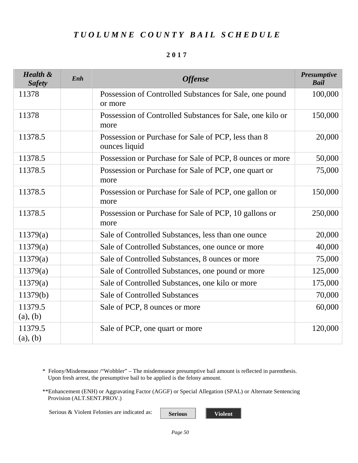#### **2017**

| <b>Health &amp;</b><br><b>Safety</b> | Enh | <b>Offense</b>                                                       | <b>Presumptive</b><br><b>Bail</b> |
|--------------------------------------|-----|----------------------------------------------------------------------|-----------------------------------|
| 11378                                |     | Possession of Controlled Substances for Sale, one pound<br>or more   | 100,000                           |
| 11378                                |     | Possession of Controlled Substances for Sale, one kilo or<br>more    | 150,000                           |
| 11378.5                              |     | Possession or Purchase for Sale of PCP, less than 8<br>ounces liquid | 20,000                            |
| 11378.5                              |     | Possession or Purchase for Sale of PCP, 8 ounces or more             | 50,000                            |
| 11378.5                              |     | Possession or Purchase for Sale of PCP, one quart or<br>more         | 75,000                            |
| 11378.5                              |     | Possession or Purchase for Sale of PCP, one gallon or<br>more        | 150,000                           |
| 11378.5                              |     | Possession or Purchase for Sale of PCP, 10 gallons or<br>more        | 250,000                           |
| 11379(a)                             |     | Sale of Controlled Substances, less than one ounce                   | 20,000                            |
| 11379(a)                             |     | Sale of Controlled Substances, one ounce or more                     | 40,000                            |
| 11379(a)                             |     | Sale of Controlled Substances, 8 ounces or more                      | 75,000                            |
| 11379(a)                             |     | Sale of Controlled Substances, one pound or more                     | 125,000                           |
| 11379(a)                             |     | Sale of Controlled Substances, one kilo or more                      | 175,000                           |
| 11379(b)                             |     | <b>Sale of Controlled Substances</b>                                 | 70,000                            |
| 11379.5<br>(a), (b)                  |     | Sale of PCP, 8 ounces or more                                        | 60,000                            |
| 11379.5<br>(a), (b)                  |     | Sale of PCP, one quart or more                                       | 120,000                           |

\* Felony/Misdemeanor /"Wobbler" – The misdemeanor presumptive bail amount is reflected in parenthesis. Upon fresh arrest, the presumptive bail to be applied is the felony amount.

\*\*Enhancement (ENH) or Aggravating Factor (AGGF) or Special Allegation (SPAL) or Alternate Sentencing Provision (ALT.SENT.PROV.)

Serious & Violent Felonies are indicated as: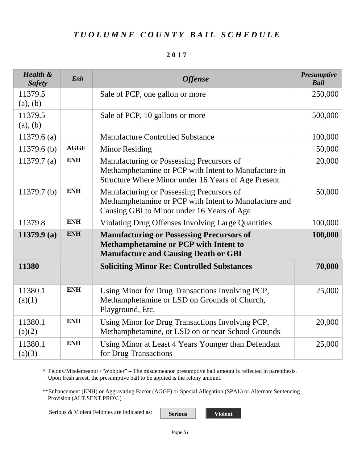#### **2017**

| <b>Health &amp;</b><br><b>Safety</b> | Enh         | <b>Offense</b>                                                                                                                                           | <b>Presumptive</b><br><b>Bail</b> |
|--------------------------------------|-------------|----------------------------------------------------------------------------------------------------------------------------------------------------------|-----------------------------------|
| 11379.5<br>(a), (b)                  |             | Sale of PCP, one gallon or more                                                                                                                          | 250,000                           |
| 11379.5<br>(a), (b)                  |             | Sale of PCP, 10 gallons or more                                                                                                                          | 500,000                           |
| $11379.6$ (a)                        |             | <b>Manufacture Controlled Substance</b>                                                                                                                  | 100,000                           |
| $11379.6$ (b)                        | <b>AGGF</b> | Minor Residing                                                                                                                                           | 50,000                            |
| 11379.7 $(a)$                        | <b>ENH</b>  | Manufacturing or Possessing Precursors of<br>Methamphetamine or PCP with Intent to Manufacture in<br>Structure Where Minor under 16 Years of Age Present | 20,000                            |
| 11379.7 <sub>(b)</sub>               | <b>ENH</b>  | Manufacturing or Possessing Precursors of<br>Methamphetamine or PCP with Intent to Manufacture and<br>Causing GBI to Minor under 16 Years of Age         | 50,000                            |
| 11379.8                              | <b>ENH</b>  | Violating Drug Offenses Involving Large Quantities                                                                                                       | 100,000                           |
| 11379.9 $(a)$                        | <b>ENH</b>  | <b>Manufacturing or Possessing Precursors of</b><br>Methamphetamine or PCP with Intent to<br><b>Manufacture and Causing Death or GBI</b>                 | 100,000                           |
| 11380                                |             | <b>Soliciting Minor Re: Controlled Substances</b>                                                                                                        | 70,000                            |
| 11380.1<br>(a)(1)                    | <b>ENH</b>  | Using Minor for Drug Transactions Involving PCP,<br>Methamphetamine or LSD on Grounds of Church,<br>Playground, Etc.                                     | 25,000                            |
| 11380.1<br>(a)(2)                    | <b>ENH</b>  | Using Minor for Drug Transactions Involving PCP,<br>Methamphetamine, or LSD on or near School Grounds                                                    | 20,000                            |
| 11380.1<br>(a)(3)                    | <b>ENH</b>  | Using Minor at Least 4 Years Younger than Defendant<br>for Drug Transactions                                                                             | 25,000                            |

\* Felony/Misdemeanor /"Wobbler" – The misdemeanor presumptive bail amount is reflected in parenthesis. Upon fresh arrest, the presumptive bail to be applied is the felony amount.

\*\*Enhancement (ENH) or Aggravating Factor (AGGF) or Special Allegation (SPAL) or Alternate Sentencing Provision (ALT.SENT.PROV.)

Serious & Violent Felonies are indicated as: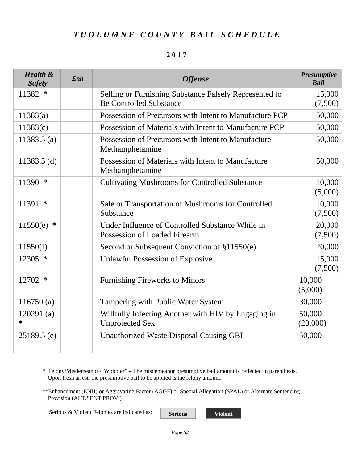#### **2017**

| <b>Health &amp;</b><br><b>Safety</b> | Enh | <b>Offense</b>                                                                           | <b>Presumptive</b><br><b>Bail</b> |
|--------------------------------------|-----|------------------------------------------------------------------------------------------|-----------------------------------|
| 11382 *                              |     | Selling or Furnishing Substance Falsely Represented to<br><b>Be Controlled Substance</b> | 15,000<br>(7,500)                 |
| 11383(a)                             |     | Possession of Precursors with Intent to Manufacture PCP                                  | 50,000                            |
| 11383(c)                             |     | Possession of Materials with Intent to Manufacture PCP                                   | 50,000                            |
| 11383.5 $(a)$                        |     | Possession of Precursors with Intent to Manufacture<br>Methamphetamine                   | 50,000                            |
| 11383.5 $(d)$                        |     | Possession of Materials with Intent to Manufacture<br>Methamphetamine                    | 50,000                            |
| $11390$ *                            |     | <b>Cultivating Mushrooms for Controlled Substance</b>                                    | 10,000<br>(5,000)                 |
| $11391$ *                            |     | Sale or Transportation of Mushrooms for Controlled<br>Substance                          | 10,000<br>(7,500)                 |
| 11550(e)<br>∗                        |     | Under Influence of Controlled Substance While in<br>Possession of Loaded Firearm         | 20,000<br>(7,500)                 |
| 11550(f)                             |     | Second or Subsequent Conviction of §11550(e)                                             | 20,000                            |
| $12305$ *                            |     | Unlawful Possession of Explosive                                                         | 15,000<br>(7,500)                 |
| 12702 *                              |     | <b>Furnishing Fireworks to Minors</b>                                                    | 10,000<br>(5,000)                 |
| 116750(a)                            |     | Tampering with Public Water System                                                       | 30,000                            |
| 120291(a)<br>*                       |     | Willfully Infecting Another with HIV by Engaging in<br><b>Unprotected Sex</b>            | 50,000<br>(20,000)                |
| $25189.5$ (e)                        |     | <b>Unauthorized Waste Disposal Causing GBI</b>                                           | 50,000                            |

\* Felony/Misdemeanor /"Wobbler" – The misdemeanor presumptive bail amount is reflected in parenthesis. Upon fresh arrest, the presumptive bail to be applied is the felony amount.

\*\*Enhancement (ENH) or Aggravating Factor (AGGF) or Special Allegation (SPAL) or Alternate Sentencing Provision (ALT.SENT.PROV.)

Serious & Violent Felonies are indicated as: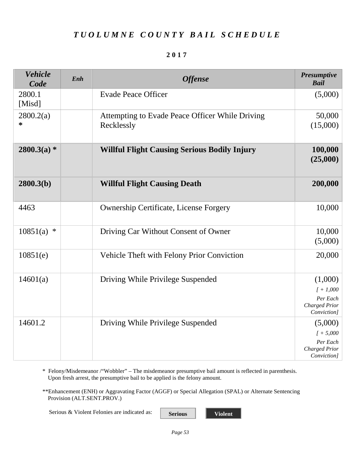| <b>Vehicle</b><br>Code | Enh | <b>Offense</b>                                                | <b>Presumptive</b><br><b>Bail</b>                                         |
|------------------------|-----|---------------------------------------------------------------|---------------------------------------------------------------------------|
| 2800.1<br>[Misd]       |     | <b>Evade Peace Officer</b>                                    | (5,000)                                                                   |
| 2800.2(a)<br>∗         |     | Attempting to Evade Peace Officer While Driving<br>Recklessly | 50,000<br>(15,000)                                                        |
| $2800.3(a)$ *          |     | <b>Willful Flight Causing Serious Bodily Injury</b>           | 100,000<br>(25,000)                                                       |
| 2800.3(b)              |     | <b>Willful Flight Causing Death</b>                           | 200,000                                                                   |
| 4463                   |     | <b>Ownership Certificate, License Forgery</b>                 | 10,000                                                                    |
| 10851(a)<br>$\ast$     |     | Driving Car Without Consent of Owner                          | 10,000<br>(5,000)                                                         |
| 10851(e)               |     | Vehicle Theft with Felony Prior Conviction                    | 20,000                                                                    |
| 14601(a)               |     | Driving While Privilege Suspended                             | (1,000)<br>$[ + 1,000]$<br>Per Each<br>Charged Prior<br>Conviction]       |
| 14601.2                |     | Driving While Privilege Suspended                             | (5,000)<br>$1 + 5,000$<br>Per Each<br><b>Charged Prior</b><br>Conviction] |

\* Felony/Misdemeanor /"Wobbler" – The misdemeanor presumptive bail amount is reflected in parenthesis. Upon fresh arrest, the presumptive bail to be applied is the felony amount.

\*\*Enhancement (ENH) or Aggravating Factor (AGGF) or Special Allegation (SPAL) or Alternate Sentencing Provision (ALT.SENT.PROV.)

Serious & Violent Felonies are indicated as: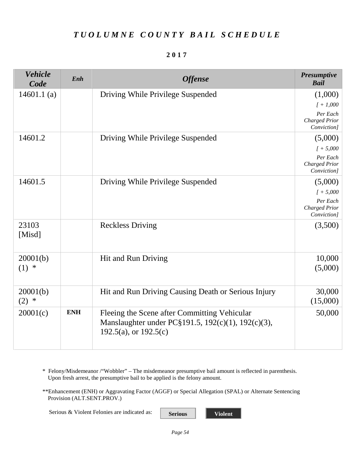#### **2017**

| <b>Vehicle</b><br>Code | Enh        | <b>Offense</b>                                                                                                                | <b>Presumptive</b><br><b>Bail</b>               |
|------------------------|------------|-------------------------------------------------------------------------------------------------------------------------------|-------------------------------------------------|
| 14601.1 $(a)$          |            | Driving While Privilege Suspended                                                                                             | (1,000)                                         |
|                        |            |                                                                                                                               | $I + 1,000$                                     |
|                        |            |                                                                                                                               | Per Each<br><b>Charged Prior</b><br>Conviction] |
| 14601.2                |            | Driving While Privilege Suspended                                                                                             | (5,000)                                         |
|                        |            |                                                                                                                               | $[ +5,000]$                                     |
|                        |            |                                                                                                                               | Per Each<br><b>Charged Prior</b><br>Conviction] |
| 14601.5                |            | Driving While Privilege Suspended                                                                                             | (5,000)                                         |
|                        |            |                                                                                                                               | $1 + 5,000$                                     |
|                        |            |                                                                                                                               | Per Each<br>Charged Prior<br>Conviction]        |
| 23103<br>[Misd]        |            | <b>Reckless Driving</b>                                                                                                       | (3,500)                                         |
| 20001(b)               |            | Hit and Run Driving                                                                                                           | 10,000                                          |
| $(1) *$                |            |                                                                                                                               | (5,000)                                         |
| 20001(b)<br>$(2)$ *    |            | Hit and Run Driving Causing Death or Serious Injury                                                                           | 30,000<br>(15,000)                              |
| 20001(c)               | <b>ENH</b> | Fleeing the Scene after Committing Vehicular<br>Manslaughter under PC§191.5, 192(c)(1), 192(c)(3),<br>192.5(a), or $192.5(c)$ | 50,000                                          |

\* Felony/Misdemeanor /"Wobbler" – The misdemeanor presumptive bail amount is reflected in parenthesis. Upon fresh arrest, the presumptive bail to be applied is the felony amount.

\*\*Enhancement (ENH) or Aggravating Factor (AGGF) or Special Allegation (SPAL) or Alternate Sentencing Provision (ALT.SENT.PROV.)

Serious & Violent Felonies are indicated as: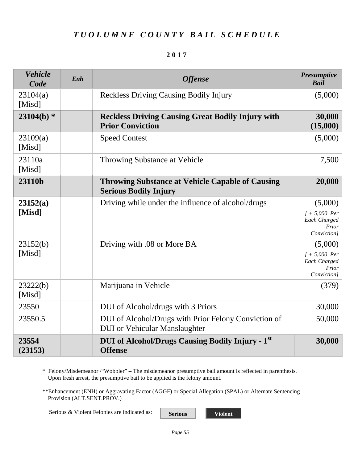#### **2017**

| <b>Vehicle</b><br>Code | Enh | <b>Offense</b>                                                                               | <b>Presumptive</b><br><b>Bail</b>                                  |
|------------------------|-----|----------------------------------------------------------------------------------------------|--------------------------------------------------------------------|
| 23104(a)<br>[Misd]     |     | <b>Reckless Driving Causing Bodily Injury</b>                                                | (5,000)                                                            |
| $23104(b)$ *           |     | <b>Reckless Driving Causing Great Bodily Injury with</b><br><b>Prior Conviction</b>          | 30,000<br>(15,000)                                                 |
| 23109(a)<br>[Misd]     |     | <b>Speed Contest</b>                                                                         | (5,000)                                                            |
| 23110a<br>[Misd]       |     | Throwing Substance at Vehicle                                                                | 7,500                                                              |
| 23110b                 |     | <b>Throwing Substance at Vehicle Capable of Causing</b><br><b>Serious Bodily Injury</b>      | 20,000                                                             |
| 23152(a)<br>[Misd]     |     | Driving while under the influence of alcohol/drugs                                           | (5,000)<br>$1 + 5,000$ Per<br>Each Charged<br>Prior<br>Conviction] |
| 23152(b)<br>[Misd]     |     | Driving with .08 or More BA                                                                  | (5,000)<br>$1 + 5,000$ Per<br>Each Charged<br>Prior<br>Conviction] |
| 23222(b)<br>[Misd]     |     | Marijuana in Vehicle                                                                         | (379)                                                              |
| 23550                  |     | DUI of Alcohol/drugs with 3 Priors                                                           | 30,000                                                             |
| 23550.5                |     | DUI of Alcohol/Drugs with Prior Felony Conviction of<br><b>DUI</b> or Vehicular Manslaughter | 50,000                                                             |
| 23554<br>(23153)       |     | <b>DUI of Alcohol/Drugs Causing Bodily Injury - 1st</b><br><b>Offense</b>                    | 30,000                                                             |

\* Felony/Misdemeanor /"Wobbler" – The misdemeanor presumptive bail amount is reflected in parenthesis. Upon fresh arrest, the presumptive bail to be applied is the felony amount.

\*\*Enhancement (ENH) or Aggravating Factor (AGGF) or Special Allegation (SPAL) or Alternate Sentencing Provision (ALT.SENT.PROV.)

Serious & Violent Felonies are indicated as: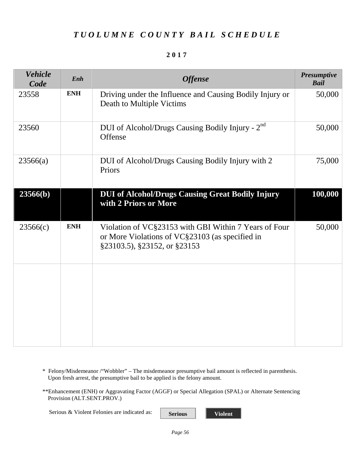#### **2017**

<span id="page-57-0"></span>

| <b>Vehicle</b><br>Code | Enh        | <b>Offense</b>                                                                                                                           | <b>Presumptive</b><br><b>Bail</b> |
|------------------------|------------|------------------------------------------------------------------------------------------------------------------------------------------|-----------------------------------|
| 23558                  | <b>ENH</b> | Driving under the Influence and Causing Bodily Injury or<br>Death to Multiple Victims                                                    | 50,000                            |
| 23560                  |            | DUI of Alcohol/Drugs Causing Bodily Injury - 2 <sup>nd</sup><br>Offense                                                                  | 50,000                            |
| 23566(a)               |            | DUI of Alcohol/Drugs Causing Bodily Injury with 2<br>Priors                                                                              | 75,000                            |
| 23566(b)               |            | <b>DUI of Alcohol/Drugs Causing Great Bodily Injury</b><br>with 2 Priors or More                                                         | 100,000                           |
| 23566(c)               | <b>ENH</b> | Violation of VC§23153 with GBI Within 7 Years of Four<br>or More Violations of VC§23103 (as specified in<br>§23103.5), §23152, or §23153 | 50,000                            |
|                        |            |                                                                                                                                          |                                   |
|                        |            |                                                                                                                                          |                                   |

- \* Felony/Misdemeanor /"Wobbler" The misdemeanor presumptive bail amount is reflected in parenthesis. Upon fresh arrest, the presumptive bail to be applied is the felony amount.
- \*\*Enhancement (ENH) or Aggravating Factor (AGGF) or Special Allegation (SPAL) or Alternate Sentencing Provision (ALT.SENT.PROV.)

Serious & Violent Felonies are indicated as: